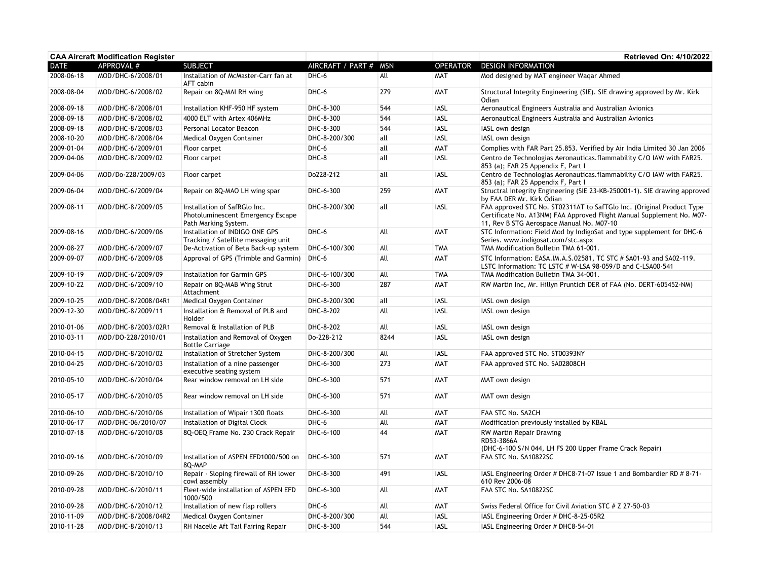| <b>CAA Aircraft Modification Register</b> |                     |                                                                                           |                   |            |                 | <b>Retrieved On: 4/10/2022</b>                                                                                                                                                              |
|-------------------------------------------|---------------------|-------------------------------------------------------------------------------------------|-------------------|------------|-----------------|---------------------------------------------------------------------------------------------------------------------------------------------------------------------------------------------|
| <b>DATE</b>                               | APPROVAL #          | <b>SUBJECT</b>                                                                            | AIRCRAFT / PART # | <b>MSN</b> | <b>OPERATOR</b> | <b>DESIGN INFORMATION</b>                                                                                                                                                                   |
| 2008-06-18                                | MOD/DHC-6/2008/01   | Installation of McMaster-Carr fan at<br>AFT cabin                                         | DHC-6             | All        | <b>MAT</b>      | Mod designed by MAT engineer Wagar Ahmed                                                                                                                                                    |
| 2008-08-04                                | MOD/DHC-6/2008/02   | Repair on 8Q-MAI RH wing                                                                  | DHC-6             | 279        | <b>MAT</b>      | Structural Integrity Engineering (SIE). SIE drawing approved by Mr. Kirk<br>Odian                                                                                                           |
| 2008-09-18                                | MOD/DHC-8/2008/01   | Installation KHF-950 HF system                                                            | DHC-8-300         | 544        | IASL            | Aeronautical Engineers Australia and Australian Avionics                                                                                                                                    |
| 2008-09-18                                | MOD/DHC-8/2008/02   | 4000 ELT with Artex 406MHz                                                                | DHC-8-300         | 544        | <b>IASL</b>     | Aeronautical Engineers Australia and Australian Avionics                                                                                                                                    |
| 2008-09-18                                | MOD/DHC-8/2008/03   | Personal Locator Beacon                                                                   | DHC-8-300         | 544        | <b>IASL</b>     | IASL own design                                                                                                                                                                             |
| 2008-10-20                                | MOD/DHC-8/2008/04   | Medical Oxygen Container                                                                  | DHC-8-200/300     | all        | <b>IASL</b>     | IASL own design                                                                                                                                                                             |
| 2009-01-04                                | MOD/DHC-6/2009/01   | Floor carpet                                                                              | DHC-6             | all        | MAT             | Complies with FAR Part 25.853. Verified by Air India Limited 30 Jan 2006                                                                                                                    |
| 2009-04-06                                | MOD/DHC-8/2009/02   | Floor carpet                                                                              | DHC-8             | all        | <b>IASL</b>     | Centro de Technologias Aeronauticas.flammability C/O IAW with FAR25.<br>853 (a); FAR 25 Appendix F, Part I                                                                                  |
| 2009-04-06                                | MOD/Do-228/2009/03  | Floor carpet                                                                              | Do228-212         | all        | <b>IASL</b>     | Centro de Technologias Aeronauticas.flammability C/O IAW with FAR25.<br>853 (a); FAR 25 Appendix F, Part I                                                                                  |
| 2009-06-04                                | MOD/DHC-6/2009/04   | Repair on 8Q-MAO LH wing spar                                                             | DHC-6-300         | 259        | <b>MAT</b>      | Structral Integrity Engineering (SIE 23-KB-250001-1). SIE drawing approved<br>by FAA DER Mr. Kirk Odian                                                                                     |
| 2009-08-11                                | MOD/DHC-8/2009/05   | Installation of SafRGlo Inc.<br>Photoluminescent Emergency Escape<br>Path Marking System. | DHC-8-200/300     | all        | <b>IASL</b>     | FAA approved STC No. ST02311AT to SafTGlo Inc. (Original Product Type<br>Certificate No. A13NM) FAA Approved Flight Manual Supplement No. M07-<br>11, Rev B STG Aerospace Manual No. M07-10 |
| 2009-08-16                                | MOD/DHC-6/2009/06   | Installation of INDIGO ONE GPS<br>Tracking / Satellite messaging unit                     | DHC-6             | All        | <b>MAT</b>      | STC Information: Field Mod by IndigoSat and type supplement for DHC-6<br>Series. www.indigosat.com/stc.aspx                                                                                 |
| 2009-08-27                                | MOD/DHC-6/2009/07   | De-Activation of Beta Back-up system                                                      | DHC-6-100/300     | All        | <b>TMA</b>      | TMA Modification Bulletin TMA 61-001.                                                                                                                                                       |
| 2009-09-07                                | MOD/DHC-6/2009/08   | Approval of GPS (Trimble and Garmin)                                                      | DHC-6             | All        | <b>MAT</b>      | STC Information: EASA.IM.A.S.02581, TC STC # SA01-93 and SA02-119.<br>LSTC Information: TC LSTC # W-LSA 98-059/D and C-LSA00-541                                                            |
| 2009-10-19                                | MOD/DHC-6/2009/09   | Installation for Garmin GPS                                                               | DHC-6-100/300     | All        | <b>TMA</b>      | TMA Modification Bulletin TMA 34-001.                                                                                                                                                       |
| 2009-10-22                                | MOD/DHC-6/2009/10   | Repair on 8Q-MAB Wing Strut<br>Attachment                                                 | DHC-6-300         | 287        | <b>MAT</b>      | RW Martin Inc, Mr. Hillyn Pruntich DER of FAA (No. DERT-605452-NM)                                                                                                                          |
| 2009-10-25                                | MOD/DHC-8/2008/04R1 | Medical Oxygen Container                                                                  | DHC-8-200/300     | all        | <b>IASL</b>     | IASL own design                                                                                                                                                                             |
| 2009-12-30                                | MOD/DHC-8/2009/11   | Installation & Removal of PLB and<br>Holder                                               | DHC-8-202         | All        | <b>IASL</b>     | IASL own design                                                                                                                                                                             |
| 2010-01-06                                | MOD/DHC-8/2003/02R1 | Removal & Installation of PLB                                                             | DHC-8-202         | All        | <b>IASL</b>     | IASL own design                                                                                                                                                                             |
| 2010-03-11                                | MOD/DO-228/2010/01  | Installation and Removal of Oxygen<br><b>Bottle Carriage</b>                              | Do-228-212        | 8244       | <b>IASL</b>     | IASL own design                                                                                                                                                                             |
| 2010-04-15                                | MOD/DHC-8/2010/02   | Installation of Stretcher System                                                          | DHC-8-200/300     | All        | <b>IASL</b>     | FAA approved STC No. ST00393NY                                                                                                                                                              |
| 2010-04-25                                | MOD/DHC-6/2010/03   | Installation of a nine passenger<br>executive seating system                              | DHC-6-300         | 273        | <b>MAT</b>      | FAA approved STC No. SA02808CH                                                                                                                                                              |
| 2010-05-10                                | MOD/DHC-6/2010/04   | Rear window removal on LH side                                                            | DHC-6-300         | 571        | <b>MAT</b>      | MAT own design                                                                                                                                                                              |
| 2010-05-17                                | MOD/DHC-6/2010/05   | Rear window removal on LH side                                                            | DHC-6-300         | 571        | <b>MAT</b>      | MAT own design                                                                                                                                                                              |
| 2010-06-10                                | MOD/DHC-6/2010/06   | Installation of Wipair 1300 floats                                                        | DHC-6-300         | All        | <b>MAT</b>      | FAA STC No. SA2CH                                                                                                                                                                           |
| 2010-06-17                                | MOD/DHC-06/2010/07  | Installation of Digital Clock                                                             | DHC-6             | All        | <b>MAT</b>      | Modification previously installed by KBAL                                                                                                                                                   |
| 2010-07-18                                | MOD/DHC-6/2010/08   | 8Q-OEQ Frame No. 230 Crack Repair                                                         | DHC-6-100         | 44         | <b>MAT</b>      | <b>RW Martin Repair Drawing</b><br>RD53-3866A<br>(DHC-6-100 S/N 044, LH FS 200 Upper Frame Crack Repair)                                                                                    |
| 2010-09-16                                | MOD/DHC-6/2010/09   | Installation of ASPEN EFD1000/500 on<br>8Q-MAP                                            | DHC-6-300         | 571        | MAT             | FAA STC No. SA10822SC                                                                                                                                                                       |
| 2010-09-26                                | MOD/DHC-8/2010/10   | Repair - Sloping firewall of RH lower<br>cowl assembly                                    | DHC-8-300         | 491        | <b>IASL</b>     | IASL Engineering Order # DHC8-71-07 Issue 1 and Bombardier RD # 8-71-<br>610 Rev 2006-08                                                                                                    |
| 2010-09-28                                | MOD/DHC-6/2010/11   | Fleet-wide installation of ASPEN EFD<br>1000/500                                          | DHC-6-300         | All        | <b>MAT</b>      | FAA STC No. SA10822SC                                                                                                                                                                       |
| 2010-09-28                                | MOD/DHC-6/2010/12   | Installation of new flap rollers                                                          | DHC-6             | All        | <b>MAT</b>      | Swiss Federal Office for Civil Aviation STC # Z 27-50-03                                                                                                                                    |
| 2010-11-09                                | MOD/DHC-8/2008/04R2 | Medical Oxygen Container                                                                  | DHC-8-200/300     | All        | <b>IASL</b>     | IASL Engineering Order # DHC-8-25-05R2                                                                                                                                                      |
| 2010-11-28                                | MOD/DHC-8/2010/13   | RH Nacelle Aft Tail Fairing Repair                                                        | DHC-8-300         | 544        | <b>IASL</b>     | IASL Engineering Order # DHC8-54-01                                                                                                                                                         |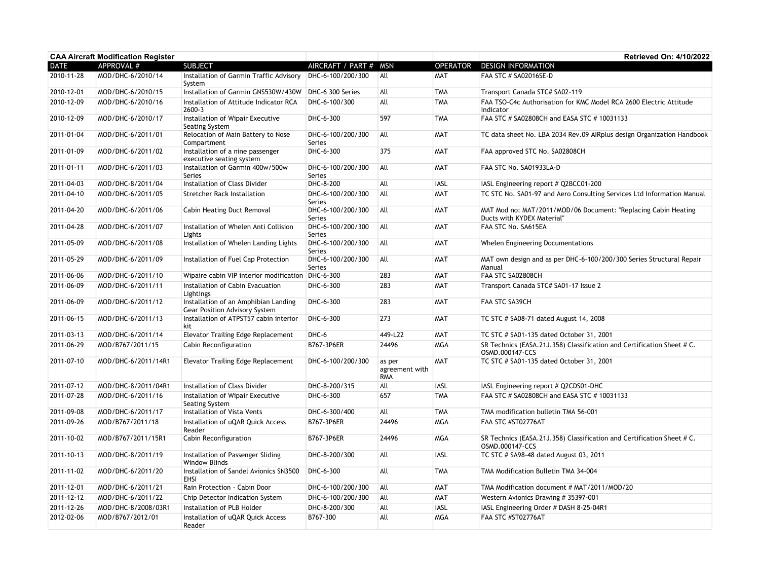| <b>CAA Aircraft Modification Register</b> |                     |                                                                              |                                    |                                        |                 | <b>Retrieved On: 4/10/2022</b>                                                               |
|-------------------------------------------|---------------------|------------------------------------------------------------------------------|------------------------------------|----------------------------------------|-----------------|----------------------------------------------------------------------------------------------|
| <b>DATE</b>                               | <b>APPROVAL #</b>   | <b>SUBJECT</b>                                                               | AIRCRAFT / PART #                  | <b>MSN</b>                             | <b>OPERATOR</b> | <b>DESIGN INFORMATION</b>                                                                    |
| 2010-11-28                                | MOD/DHC-6/2010/14   | Installation of Garmin Traffic Advisory<br>System                            | DHC-6-100/200/300                  | All                                    | <b>MAT</b>      | FAA STC # SA02016SE-D                                                                        |
| 2010-12-01                                | MOD/DHC-6/2010/15   | Installation of Garmin GNS530W/430W                                          | DHC-6 300 Series                   | All                                    | <b>TMA</b>      | Transport Canada STC# SA02-119                                                               |
| 2010-12-09                                | MOD/DHC-6/2010/16   | Installation of Attitude Indicator RCA<br>2600-3                             | DHC-6-100/300                      | All                                    | <b>TMA</b>      | FAA TSO-C4c Authorisation for KMC Model RCA 2600 Electric Attitude<br>Indicator              |
| 2010-12-09                                | MOD/DHC-6/2010/17   | Installation of Wipair Executive<br>Seating System                           | DHC-6-300                          | 597                                    | <b>TMA</b>      | FAA STC # SA02808CH and EASA STC # 10031133                                                  |
| 2011-01-04                                | MOD/DHC-6/2011/01   | Relocation of Main Battery to Nose<br>Compartment                            | DHC-6-100/200/300<br>Series        | All                                    | <b>MAT</b>      | TC data sheet No. LBA 2034 Rev.09 AIRplus design Organization Handbook                       |
| 2011-01-09                                | MOD/DHC-6/2011/02   | Installation of a nine passenger<br>executive seating system                 | DHC-6-300                          | 375                                    | <b>MAT</b>      | FAA approved STC No. SA02808CH                                                               |
| 2011-01-11                                | MOD/DHC-6/2011/03   | Installation of Garmin 400w/500w<br><b>Series</b>                            | DHC-6-100/200/300<br>Series        | All                                    | <b>MAT</b>      | FAA STC No. SA01933LA-D                                                                      |
| 2011-04-03                                | MOD/DHC-8/2011/04   | Installation of Class Divider                                                | DHC-8-200                          | All                                    | <b>IASL</b>     | IASL Engineering report # Q2BCC01-200                                                        |
| 2011-04-10                                | MOD/DHC-6/2011/05   | <b>Stretcher Rack Installation</b>                                           | DHC-6-100/200/300<br>Series        | All                                    | MAT             | TC STC No. SA01-97 and Aero Consulting Services Ltd Information Manual                       |
| 2011-04-20                                | MOD/DHC-6/2011/06   | <b>Cabin Heating Duct Removal</b>                                            | DHC-6-100/200/300<br>Series        | All                                    | <b>MAT</b>      | MAT Mod no: MAT/2011/MOD/06 Document: "Replacing Cabin Heating<br>Ducts with KYDEX Material" |
| 2011-04-28                                | MOD/DHC-6/2011/07   | Installation of Whelen Anti Collision<br>Lights                              | DHC-6-100/200/300<br><b>Series</b> | All                                    | <b>MAT</b>      | FAA STC No. SA615EA                                                                          |
| 2011-05-09                                | MOD/DHC-6/2011/08   | Installation of Whelen Landing Lights                                        | DHC-6-100/200/300<br>Series        | All                                    | <b>MAT</b>      | Whelen Engineering Documentations                                                            |
| 2011-05-29                                | MOD/DHC-6/2011/09   | Installation of Fuel Cap Protection                                          | DHC-6-100/200/300<br>Series        | All                                    | <b>MAT</b>      | MAT own design and as per DHC-6-100/200/300 Series Structural Repair<br>Manual               |
| 2011-06-06                                | MOD/DHC-6/2011/10   | Wipaire cabin VIP interior modification DHC-6-300                            |                                    | 283                                    | <b>MAT</b>      | FAA STC SA02808CH                                                                            |
| 2011-06-09                                | MOD/DHC-6/2011/11   | Installation of Cabin Evacuation<br>Lightings                                | DHC-6-300                          | 283                                    | <b>MAT</b>      | Transport Canada STC# SA01-17 Issue 2                                                        |
| 2011-06-09                                | MOD/DHC-6/2011/12   | Installation of an Amphibian Landing<br><b>Gear Position Advisory System</b> | DHC-6-300                          | 283                                    | <b>MAT</b>      | FAA STC SA39CH                                                                               |
| 2011-06-15                                | MOD/DHC-6/2011/13   | Installation of ATPST57 cabin interior<br>kit                                | DHC-6-300                          | 273                                    | MAT             | TC STC # SA08-71 dated August 14, 2008                                                       |
| 2011-03-13                                | MOD/DHC-6/2011/14   | <b>Elevator Trailing Edge Replacement</b>                                    | DHC-6                              | 449-L22                                | <b>MAT</b>      | TC STC # SA01-135 dated October 31, 2001                                                     |
| 2011-06-29                                | MOD/B767/2011/15    | <b>Cabin Reconfiguration</b>                                                 | B767-3P6ER                         | 24496                                  | <b>MGA</b>      | SR Technics (EASA.21J.358) Classification and Certification Sheet # C.<br>OSMD.000147-CCS    |
| 2011-07-10                                | MOD/DHC-6/2011/14R1 | <b>Elevator Trailing Edge Replacement</b>                                    | DHC-6-100/200/300                  | as per<br>agreement with<br><b>RMA</b> | MAT             | TC STC # SA01-135 dated October 31, 2001                                                     |
| 2011-07-12                                | MOD/DHC-8/2011/04R1 | Installation of Class Divider                                                | DHC-8-200/315                      | All                                    | <b>IASL</b>     | IASL Engineering report # Q2CDS01-DHC                                                        |
| 2011-07-28                                | MOD/DHC-6/2011/16   | Installation of Wipair Executive<br>Seating System                           | DHC-6-300                          | 657                                    | <b>TMA</b>      | FAA STC # SA02808CH and EASA STC # 10031133                                                  |
| 2011-09-08                                | MOD/DHC-6/2011/17   | Installation of Vista Vents                                                  | DHC-6-300/400                      | All                                    | <b>TMA</b>      | TMA modification bulletin TMA 56-001                                                         |
| 2011-09-26                                | MOD/B767/2011/18    | Installation of uQAR Quick Access<br>Reader                                  | B767-3P6ER                         | 24496                                  | <b>MGA</b>      | FAA STC #ST02776AT                                                                           |
| 2011-10-02                                | MOD/B767/2011/15R1  | Cabin Reconfiguration                                                        | B767-3P6ER                         | 24496                                  | <b>MGA</b>      | SR Technics (EASA.21J.358) Classification and Certification Sheet # C.<br>OSMD.000147-CCS    |
| 2011-10-13                                | MOD/DHC-8/2011/19   | Installation of Passenger Sliding<br><b>Window Blinds</b>                    | DHC-8-200/300                      | All                                    | <b>IASL</b>     | TC STC # SA98-48 dated August 03, 2011                                                       |
| 2011-11-02                                | MOD/DHC-6/2011/20   | Installation of Sandel Avionics SN3500<br><b>FHSI</b>                        | DHC-6-300                          | All                                    | TMA             | TMA Modification Bulletin TMA 34-004                                                         |
| 2011-12-01                                | MOD/DHC-6/2011/21   | Rain Protection - Cabin Door                                                 | DHC-6-100/200/300                  | All                                    | <b>MAT</b>      | TMA Modification document # MAT/2011/MOD/20                                                  |
| 2011-12-12                                | MOD/DHC-6/2011/22   | Chip Detector Indication System                                              | DHC-6-100/200/300                  | All                                    | MAT             | Western Avionics Drawing # 35397-001                                                         |
| 2011-12-26                                | MOD/DHC-8/2008/03R1 | Installation of PLB Holder                                                   | DHC-8-200/300                      | All                                    | <b>IASL</b>     | IASL Engineering Order # DASH 8-25-04R1                                                      |
| 2012-02-06                                | MOD/B767/2012/01    | Installation of uQAR Quick Access<br>Reader                                  | B767-300                           | All                                    | <b>MGA</b>      | FAA STC #ST02776AT                                                                           |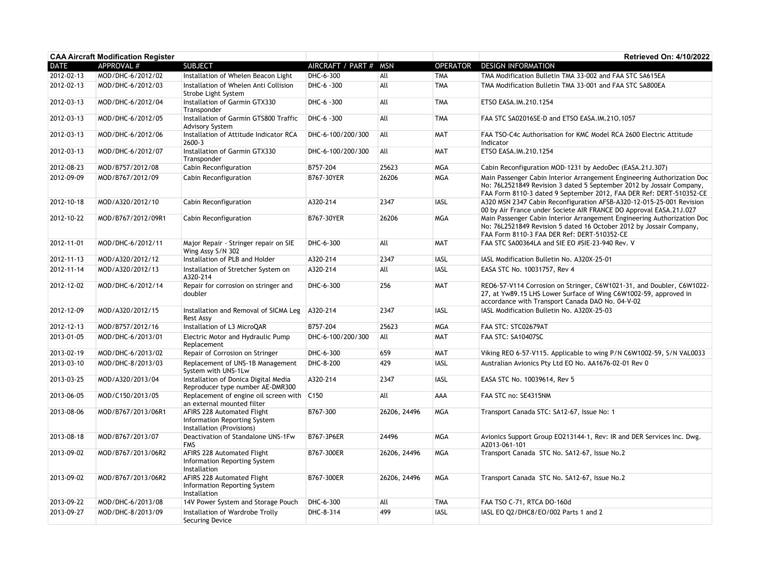| <b>CAA Aircraft Modification Register</b> |                    |                                                                                         |                       |              |                 | Retrieved On: 4/10/2022                                                                                                                                                                                                |
|-------------------------------------------|--------------------|-----------------------------------------------------------------------------------------|-----------------------|--------------|-----------------|------------------------------------------------------------------------------------------------------------------------------------------------------------------------------------------------------------------------|
| <b>DATE</b>                               | APPROVAL #         | <b>SUBJECT</b>                                                                          | AIRCRAFT / PART # MSN |              | <b>OPERATOR</b> | <b>DESIGN INFORMATION</b>                                                                                                                                                                                              |
| 2012-02-13                                | MOD/DHC-6/2012/02  | Installation of Whelen Beacon Light                                                     | DHC-6-300             | All          | <b>TMA</b>      | TMA Modification Bulletin TMA 33-002 and FAA STC SA615EA                                                                                                                                                               |
| 2012-02-13                                | MOD/DHC-6/2012/03  | Installation of Whelen Anti Collision<br>Strobe Light System                            | DHC-6 -300            | All          | <b>TMA</b>      | TMA Modification Bulletin TMA 33-001 and FAA STC SA800EA                                                                                                                                                               |
| 2012-03-13                                | MOD/DHC-6/2012/04  | Installation of Garmin GTX330<br>Transponder                                            | DHC-6 -300            | All          | <b>TMA</b>      | ETSO EASA.IM.210.1254                                                                                                                                                                                                  |
| 2012-03-13                                | MOD/DHC-6/2012/05  | Installation of Garmin GTS800 Traffic<br><b>Advisory System</b>                         | DHC-6 -300            | All          | <b>TMA</b>      | FAA STC SA02016SE-D and ETSO EASA.IM.210.1057                                                                                                                                                                          |
| 2012-03-13                                | MOD/DHC-6/2012/06  | Installation of Attitude Indicator RCA<br>2600-3                                        | DHC-6-100/200/300     | All          | <b>MAT</b>      | FAA TSO-C4c Authorisation for KMC Model RCA 2600 Electric Attitude<br>Indicator                                                                                                                                        |
| 2012-03-13                                | MOD/DHC-6/2012/07  | Installation of Garmin GTX330<br>Transponder                                            | DHC-6-100/200/300     | All          | <b>MAT</b>      | ETSO EASA.IM.210.1254                                                                                                                                                                                                  |
| 2012-08-23                                | MOD/B757/2012/08   | Cabin Reconfiguration                                                                   | B757-204              | 25623        | <b>MGA</b>      | Cabin Reconfiguration MOD-1231 by AedoDec (EASA.21J.307)                                                                                                                                                               |
| 2012-09-09                                | MOD/B767/2012/09   | Cabin Reconfiguration                                                                   | B767-30YER            | 26206        | MGA             | Main Passenger Cabin Interior Arrangement Engineering Authorization Doc<br>No: 76L2521849 Revision 3 dated 5 September 2012 by Jossair Company,<br>FAA Form 8110-3 dated 9 September 2012, FAA DER Ref: DERT-510352-CE |
| 2012-10-18                                | MOD/A320/2012/10   | Cabin Reconfiguration                                                                   | A320-214              | 2347         | IASL            | A320 MSN 2347 Cabin Reconfiguration AFSB-A320-12-015-25-001 Revision<br>00 by Air France under Societe AIR FRANCE DO Approval EASA.21J.027                                                                             |
| 2012-10-22                                | MOD/B767/2012/09R1 | Cabin Reconfiguration                                                                   | B767-30YER            | 26206        | <b>MGA</b>      | Main Passenger Cabin Interior Arrangement Engineering Authorization Doc<br>No: 76L2521849 Revision 5 dated 16 October 2012 by Jossair Company,<br>FAA Form 8110-3 FAA DER Ref: DERT-510352-CE                          |
| 2012-11-01                                | MOD/DHC-6/2012/11  | Major Repair - Stringer repair on SIE<br>Wing Assy S/N 302                              | DHC-6-300             | All          | <b>MAT</b>      | FAA STC SA00364LA and SIE EO #SIE-23-940 Rev. V                                                                                                                                                                        |
| 2012-11-13                                | MOD/A320/2012/12   | Installation of PLB and Holder                                                          | A320-214              | 2347         | <b>IASL</b>     | IASL Modification Bulletin No. A320X-25-01                                                                                                                                                                             |
| 2012-11-14                                | MOD/A320/2012/13   | Installation of Stretcher System on<br>A320-214                                         | A320-214              | All          | <b>IASL</b>     | EASA STC No. 10031757, Rev 4                                                                                                                                                                                           |
| 2012-12-02                                | MOD/DHC-6/2012/14  | Repair for corrosion on stringer and<br>doubler                                         | DHC-6-300             | 256          | <b>MAT</b>      | REO6-57-V114 Corrosion on Stringer, C6W1021-31, and Doubler, C6W1022-<br>27, at Yw89.15 LHS Lower Surface of Wing C6W1002-59, approved in<br>accordance with Transport Canada DAO No. 04-V-02                          |
| 2012-12-09                                | MOD/A320/2012/15   | Installation and Removal of SICMA Leg<br><b>Rest Assv</b>                               | A320-214              | 2347         | <b>IASL</b>     | IASL Modification Bulletin No. A320X-25-03                                                                                                                                                                             |
| 2012-12-13                                | MOD/B757/2012/16   | Installation of L3 MicroQAR                                                             | B757-204              | 25623        | <b>MGA</b>      | FAA STC: STC02679AT                                                                                                                                                                                                    |
| 2013-01-05                                | MOD/DHC-6/2013/01  | Electric Motor and Hydraulic Pump<br>Replacement                                        | DHC-6-100/200/300     | All          | <b>MAT</b>      | FAA STC: SA10407SC                                                                                                                                                                                                     |
| 2013-02-19                                | MOD/DHC-6/2013/02  | Repair of Corrosion on Stringer                                                         | DHC-6-300             | 659          | <b>MAT</b>      | Viking REO 6-57-V115. Applicable to wing P/N C6W1002-59, S/N VAL0033                                                                                                                                                   |
| 2013-03-10                                | MOD/DHC-8/2013/03  | Replacement of UNS-1B Management<br>System with UNS-1Lw                                 | DHC-8-200             | 429          | <b>IASL</b>     | Australian Avionics Pty Ltd EO No. AA1676-02-01 Rev 0                                                                                                                                                                  |
| 2013-03-25                                | MOD/A320/2013/04   | Installation of Donica Digital Media<br>Reproducer type number AE-DMR300                | A320-214              | 2347         | <b>IASL</b>     | EASA STC No. 10039614, Rev 5                                                                                                                                                                                           |
| 2013-06-05                                | MOD/C150/2013/05   | Replacement of engine oil screen with C150<br>an external mounted filter                |                       | All          | AAA             | FAA STC no: SE4315NM                                                                                                                                                                                                   |
| 2013-08-06                                | MOD/B767/2013/06R1 | AFIRS 228 Automated Flight<br>Information Reporting System<br>Installation (Provisions) | B767-300              | 26206, 24496 | <b>MGA</b>      | Transport Canada STC: SA12-67, Issue No: 1                                                                                                                                                                             |
| 2013-08-18                                | MOD/B767/2013/07   | Deactivation of Standalone UNS-1Fw<br><b>FMS</b>                                        | B767-3P6ER            | 24496        | <b>MGA</b>      | Avionics Support Group EO213144-1, Rev: IR and DER Services Inc. Dwg.<br>A2013-061-101                                                                                                                                 |
| 2013-09-02                                | MOD/B767/2013/06R2 | AFIRS 228 Automated Flight<br>Information Reporting System<br>Installation              | B767-300ER            | 26206, 24496 | MGA             | Transport Canada STC No. SA12-67, Issue No.2                                                                                                                                                                           |
| 2013-09-02                                | MOD/B767/2013/06R2 | AFIRS 228 Automated Flight<br>Information Reporting System<br>Installation              | B767-300ER            | 26206, 24496 | <b>MGA</b>      | Transport Canada STC No. SA12-67, Issue No.2                                                                                                                                                                           |
| 2013-09-22                                | MOD/DHC-6/2013/08  | 14V Power System and Storage Pouch                                                      | DHC-6-300             | All          | <b>TMA</b>      | FAA TSO C-71, RTCA DO-160d                                                                                                                                                                                             |
| 2013-09-27                                | MOD/DHC-8/2013/09  | Installation of Wardrobe Trolly<br>Securing Device                                      | DHC-8-314             | 499          | <b>IASL</b>     | IASL EO Q2/DHC8/EO/002 Parts 1 and 2                                                                                                                                                                                   |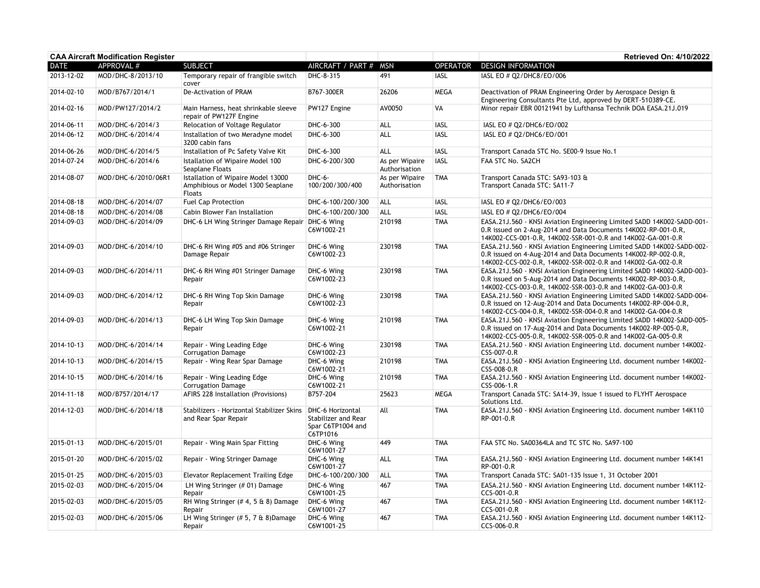| <b>CAA Aircraft Modification Register</b> |                     |                                                                                          |                                                      |                                 |                 | <b>Retrieved On: 4/10/2022</b>                                                                                                                                                                            |
|-------------------------------------------|---------------------|------------------------------------------------------------------------------------------|------------------------------------------------------|---------------------------------|-----------------|-----------------------------------------------------------------------------------------------------------------------------------------------------------------------------------------------------------|
| <b>DATE</b>                               | APPROVAL #          | <b>SUBJECT</b>                                                                           | AIRCRAFT / PART # MSN                                |                                 | <b>OPERATOR</b> | <b>DESIGN INFORMATION</b>                                                                                                                                                                                 |
| 2013-12-02                                | MOD/DHC-8/2013/10   | Temporary repair of frangible switch<br>cover                                            | DHC-8-315                                            | 491                             | <b>IASL</b>     | IASL EO # 02/DHC8/EO/006                                                                                                                                                                                  |
| 2014-02-10                                | MOD/B767/2014/1     | De-Activation of PRAM                                                                    | B767-300ER                                           | 26206                           | <b>MEGA</b>     | Deactivation of PRAM Engineering Order by Aerospace Design &<br>Engineering Consultants Pte Ltd, approved by DERT-510389-CE.                                                                              |
| 2014-02-16                                | MOD/PW127/2014/2    | Main Harness, heat shrinkable sleeve<br>repair of PW127F Engine                          | PW127 Engine                                         | AV0050                          | VA              | Minor repair EBR 00121941 by Lufthansa Technik DOA EASA.21J.019                                                                                                                                           |
| 2014-06-11                                | MOD/DHC-6/2014/3    | Relocation of Voltage Regulator                                                          | DHC-6-300                                            | ALL                             | <b>IASL</b>     | IASL EO # Q2/DHC6/EO/002                                                                                                                                                                                  |
| 2014-06-12                                | MOD/DHC-6/2014/4    | Installation of two Meradyne model<br>3200 cabin fans                                    | DHC-6-300                                            | ALL                             | <b>IASL</b>     | IASL EO # Q2/DHC6/EO/001                                                                                                                                                                                  |
| 2014-06-26                                | MOD/DHC-6/2014/5    | Installation of Pc Safety Valve Kit                                                      | DHC-6-300                                            | ALL                             | <b>IASL</b>     | Transport Canada STC No. SE00-9 Issue No.1                                                                                                                                                                |
| 2014-07-24                                | MOD/DHC-6/2014/6    | Istallation of Wipaire Model 100<br>Seaplane Floats                                      | DHC-6-200/300                                        | As per Wipaire<br>Authorisation | <b>IASL</b>     | FAA STC No. SA2CH                                                                                                                                                                                         |
| 2014-08-07                                | MOD/DHC-6/2010/06R1 | Istallation of Wipaire Model 13000<br>Amphibious or Model 1300 Seaplane<br><b>Floats</b> | DHC-6-<br>100/200/300/400                            | As per Wipaire<br>Authorisation | <b>TMA</b>      | Transport Canada STC: SA93-103 &<br>Transport Canada STC: SA11-7                                                                                                                                          |
| 2014-08-18                                | MOD/DHC-6/2014/07   | Fuel Cap Protection                                                                      | DHC-6-100/200/300                                    | <b>ALL</b>                      | <b>IASL</b>     | IASL EO # Q2/DHC6/EO/003                                                                                                                                                                                  |
| 2014-08-18                                | MOD/DHC-6/2014/08   | Cabin Blower Fan Installation                                                            | DHC-6-100/200/300                                    | <b>ALL</b>                      | <b>IASL</b>     | IASL EO # Q2/DHC6/EO/004                                                                                                                                                                                  |
| 2014-09-03                                | MOD/DHC-6/2014/09   | DHC-6 LH Wing Stringer Damage Repair DHC-6 Wing                                          | C6W1002-21                                           | 210198                          | <b>TMA</b>      | EASA.21J.560 - KNSI Aviation Engineering Limited SADD 14K002-SADD-001-<br>0.R issued on 2-Aug-2014 and Data Documents 14K002-RP-001-0.R,<br>14K002-CCS-001-0.R, 14K002-SSR-001-0.R and 14K002-GA-001-0.R  |
| 2014-09-03                                | MOD/DHC-6/2014/10   | DHC-6 RH Wing #05 and #06 Stringer<br>Damage Repair                                      | DHC-6 Wing<br>C6W1002-23                             | 230198                          | <b>TMA</b>      | EASA.21J.560 - KNSI Aviation Engineering Limited SADD 14K002-SADD-002-<br>0.R issued on 4-Aug-2014 and Data Documents 14K002-RP-002-0.R,<br>14K002-CCS-002-0.R, 14K002-SSR-002-0.R and 14K002-GA-002-0.R  |
| 2014-09-03                                | MOD/DHC-6/2014/11   | DHC-6 RH Wing #01 Stringer Damage<br>Repair                                              | DHC-6 Wing<br>C6W1002-23                             | 230198                          | <b>TMA</b>      | EASA.21J.560 - KNSI Aviation Engineering Limited SADD 14K002-SADD-003-<br>0.R issued on 5-Aug-2014 and Data Documents 14K002-RP-003-0.R,<br>14K002-CCS-003-0.R, 14K002-SSR-003-0.R and 14K002-GA-003-0.R  |
| 2014-09-03                                | MOD/DHC-6/2014/12   | DHC-6 RH Wing Top Skin Damage<br>Repair                                                  | DHC-6 Wing<br>C6W1002-23                             | 230198                          | <b>TMA</b>      | EASA.21J.560 - KNSI Aviation Engineering Limited SADD 14K002-SADD-004-<br>0.R issued on 12-Aug-2014 and Data Documents 14K002-RP-004-0.R,<br>14K002-CCS-004-0.R, 14K002-SSR-004-0.R and 14K002-GA-004-0.R |
| 2014-09-03                                | MOD/DHC-6/2014/13   | DHC-6 LH Wing Top Skin Damage<br>Repair                                                  | DHC-6 Wing<br>C6W1002-21                             | 210198                          | <b>TMA</b>      | EASA.21J.560 - KNSI Aviation Engineering Limited SADD 14K002-SADD-005-<br>0.R issued on 17-Aug-2014 and Data Documents 14K002-RP-005-0.R,<br>14K002-CCS-005-0.R, 14K002-SSR-005-0.R and 14K002-GA-005-0.R |
| 2014-10-13                                | MOD/DHC-6/2014/14   | Repair - Wing Leading Edge<br><b>Corrugation Damage</b>                                  | DHC-6 Wing<br>C6W1002-23                             | 230198                          | <b>TMA</b>      | EASA.21J.560 - KNSI Aviation Engineering Ltd. document number 14K002-<br>CSS-007-0.R                                                                                                                      |
| 2014-10-13                                | MOD/DHC-6/2014/15   | Repair - Wing Rear Spar Damage                                                           | DHC-6 Wing<br>C6W1002-21                             | 210198                          | <b>TMA</b>      | EASA.21J.560 - KNSI Aviation Engineering Ltd. document number 14K002-<br>CSS-008-0.R                                                                                                                      |
| 2014-10-15                                | MOD/DHC-6/2014/16   | Repair - Wing Leading Edge<br><b>Corrugation Damage</b>                                  | DHC-6 Wing<br>C6W1002-21                             | 210198                          | <b>TMA</b>      | EASA.21J.560 - KNSI Aviation Engineering Ltd. document number 14K002-<br>CSS-006-1.R                                                                                                                      |
| 2014-11-18                                | MOD/B757/2014/17    | AFIRS 228 Installation (Provisions)                                                      | B757-204                                             | 25623                           | MEGA            | Transport Canada STC: SA14-39, Issue 1 issued to FLYHT Aerospace<br>Solutions Ltd.                                                                                                                        |
| 2014-12-03                                | MOD/DHC-6/2014/18   | Stabilizers - Horizontal Stabilizer Skins   DHC-6 Horizontal<br>and Rear Spar Repair     | Stabilizer and Rear<br>Spar C6TP1004 and<br>C6TP1016 | All                             | <b>TMA</b>      | EASA.21J.560 - KNSI Aviation Engineering Ltd. document number 14K110<br>RP-001-0.R                                                                                                                        |
| 2015-01-13                                | MOD/DHC-6/2015/01   | Repair - Wing Main Spar Fitting                                                          | DHC-6 Wing<br>C6W1001-27                             | 449                             | <b>TMA</b>      | FAA STC No. SA00364LA and TC STC No. SA97-100                                                                                                                                                             |
| 2015-01-20                                | MOD/DHC-6/2015/02   | Repair - Wing Stringer Damage                                                            | DHC-6 Wing<br>C6W1001-27                             | ALL                             | <b>TMA</b>      | EASA.21J.560 - KNSI Aviation Engineering Ltd. document number 14K141<br>RP-001-0.R                                                                                                                        |
| 2015-01-25                                | MOD/DHC-6/2015/03   | Elevator Replacement Trailing Edge                                                       | DHC-6-100/200/300                                    | ALL                             | <b>TMA</b>      | Transport Canada STC: SA01-135 Issue 1, 31 October 2001                                                                                                                                                   |
| 2015-02-03                                | MOD/DHC-6/2015/04   | LH Wing Stringer (# 01) Damage<br>Repair                                                 | DHC-6 Wing<br>C6W1001-25                             | 467                             | <b>TMA</b>      | EASA.21J.560 - KNSI Aviation Engineering Ltd. document number 14K112-<br>CCS-001-0.R                                                                                                                      |
| 2015-02-03                                | MOD/DHC-6/2015/05   | RH Wing Stringer $(# 4, 5 \& 8)$ Damage<br>Repair                                        | DHC-6 Wing<br>C6W1001-27                             | 467                             | <b>TMA</b>      | EASA.21J.560 - KNSI Aviation Engineering Ltd. document number 14K112-<br>CCS-001-0.R                                                                                                                      |
| 2015-02-03                                | MOD/DHC-6/2015/06   | LH Wing Stringer $(\# 5, 7 \& 8)$ Damage<br>Repair                                       | DHC-6 Wing<br>C6W1001-25                             | 467                             | <b>TMA</b>      | EASA.21J.560 - KNSI Aviation Engineering Ltd. document number 14K112-<br>CCS-006-0.R                                                                                                                      |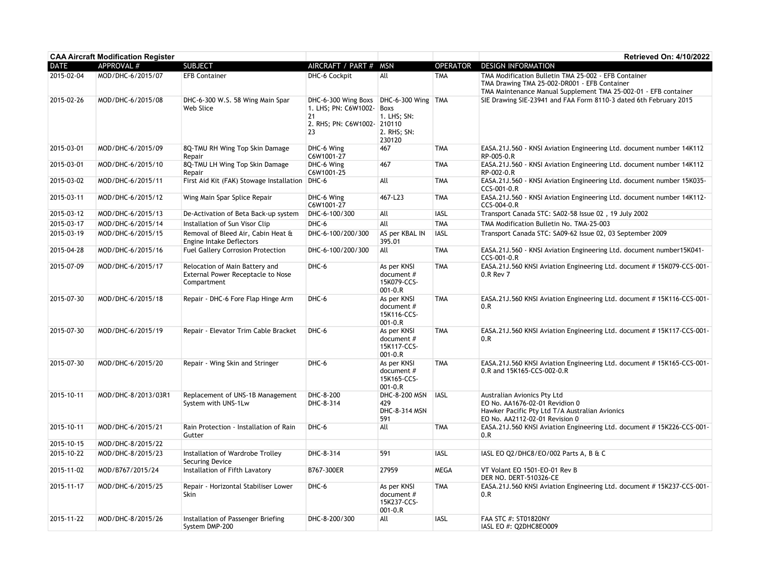|             | <b>CAA Aircraft Modification Register</b> |                                                                                           |                                                                                                           |                                                           |                 | Retrieved On: 4/10/2022                                                                                                                                                 |
|-------------|-------------------------------------------|-------------------------------------------------------------------------------------------|-----------------------------------------------------------------------------------------------------------|-----------------------------------------------------------|-----------------|-------------------------------------------------------------------------------------------------------------------------------------------------------------------------|
| <b>DATE</b> | APPROVAL #                                | <b>SUBJECT</b>                                                                            | AIRCRAFT / PART #                                                                                         | <b>MSN</b>                                                | <b>OPERATOR</b> | <b>DESIGN INFORMATION</b>                                                                                                                                               |
| 2015-02-04  | MOD/DHC-6/2015/07                         | <b>EFB Container</b>                                                                      | DHC-6 Cockpit                                                                                             | All                                                       | <b>TMA</b>      | TMA Modification Bulletin TMA 25-002 - EFB Container<br>TMA Drawing TMA 25-002-DR001 - EFB Container<br>TMA Maintenance Manual Supplement TMA 25-002-01 - EFB container |
| 2015-02-26  | MOD/DHC-6/2015/08                         | DHC-6-300 W.S. 58 Wing Main Spar<br>Web Slice                                             | DHC-6-300 Wing Boxs DHC-6-300 Wing TMA<br>1. LHS; PN: C6W1002-<br>21<br>2. RHS; PN: C6W1002- 210110<br>23 | Boxs<br>1. LHS; SN:<br>2. RHS; SN:<br>230120              |                 | SIE Drawing SIE-23941 and FAA Form 8110-3 dated 6th February 2015                                                                                                       |
| 2015-03-01  | MOD/DHC-6/2015/09                         | 8Q-TMU RH Wing Top Skin Damage<br>Repair                                                  | DHC-6 Wing<br>C6W1001-27                                                                                  | 467                                                       | <b>TMA</b>      | EASA.21J.560 - KNSI Aviation Engineering Ltd. document number 14K112<br>RP-005-0.R                                                                                      |
| 2015-03-01  | MOD/DHC-6/2015/10                         | 8Q-TMU LH Wing Top Skin Damage<br>Repair                                                  | DHC-6 Wing<br>C6W1001-25                                                                                  | 467                                                       | <b>TMA</b>      | EASA.21J.560 - KNSI Aviation Engineering Ltd. document number 14K112<br>RP-002-0.R                                                                                      |
| 2015-03-02  | MOD/DHC-6/2015/11                         | First Aid Kit (FAK) Stowage Installation   DHC-6                                          |                                                                                                           | All                                                       | <b>TMA</b>      | EASA.21J.560 - KNSI Aviation Engineering Ltd. document number 15K035-<br>CCS-001-0.R                                                                                    |
| 2015-03-11  | MOD/DHC-6/2015/12                         | Wing Main Spar Splice Repair                                                              | DHC-6 Wing<br>C6W1001-27                                                                                  | 467-L23                                                   | <b>TMA</b>      | EASA.21J.560 - KNSI Aviation Engineering Ltd. document number 14K112-<br>CCS-004-0.R                                                                                    |
| 2015-03-12  | MOD/DHC-6/2015/13                         | De-Activation of Beta Back-up system                                                      | DHC-6-100/300                                                                                             | All                                                       | <b>IASL</b>     | Transport Canada STC: SA02-58 Issue 02, 19 July 2002                                                                                                                    |
| 2015-03-17  | MOD/DHC-6/2015/14                         | Installation of Sun Visor Clip                                                            | DHC-6                                                                                                     | All                                                       | <b>TMA</b>      | TMA Modification Bulletin No. TMA-25-003                                                                                                                                |
| 2015-03-19  | MOD/DHC-6/2015/15                         | Removal of Bleed Air, Cabin Heat &<br>Engine Intake Deflectors                            | DHC-6-100/200/300                                                                                         | AS per KBAL IN<br>395.01                                  | <b>IASL</b>     | Transport Canada STC: SA09-62 Issue 02, 03 September 2009                                                                                                               |
| 2015-04-28  | MOD/DHC-6/2015/16                         | <b>Fuel Gallery Corrosion Protection</b>                                                  | DHC-6-100/200/300                                                                                         | All                                                       | <b>TMA</b>      | EASA.21J.560 - KNSI Aviation Engineering Ltd. document number15K041-<br>CCS-001-0.R                                                                                     |
| 2015-07-09  | MOD/DHC-6/2015/17                         | Relocation of Main Battery and<br><b>External Power Receptacle to Nose</b><br>Compartment | DHC-6                                                                                                     | As per KNSI<br>document #<br>15K079-CCS-<br>$001 - 0.R$   | <b>TMA</b>      | EASA.21J.560 KNSI Aviation Engineering Ltd. document #15K079-CCS-001-<br>0.R Rev 7                                                                                      |
| 2015-07-30  | MOD/DHC-6/2015/18                         | Repair - DHC-6 Fore Flap Hinge Arm                                                        | DHC-6                                                                                                     | As per KNSI<br>document $#$<br>15K116-CCS-<br>$001 - 0.R$ | <b>TMA</b>      | EASA.21J.560 KNSI Aviation Engineering Ltd. document #15K116-CCS-001-<br>0.R                                                                                            |
| 2015-07-30  | MOD/DHC-6/2015/19                         | Repair - Elevator Trim Cable Bracket                                                      | DHC-6                                                                                                     | As per KNSI<br>document #<br>15K117-CCS-<br>$001 - 0.R$   | <b>TMA</b>      | EASA.21J.560 KNSI Aviation Engineering Ltd. document # 15K117-CCS-001-<br>0.R                                                                                           |
| 2015-07-30  | MOD/DHC-6/2015/20                         | Repair - Wing Skin and Stringer                                                           | DHC-6                                                                                                     | As per KNSI<br>document $#$<br>15K165-CCS-<br>$001 - 0.R$ | <b>TMA</b>      | EASA.21J.560 KNSI Aviation Engineering Ltd. document #15K165-CCS-001-<br>0.R and 15K165-CCS-002-0.R                                                                     |
| 2015-10-11  | MOD/DHC-8/2013/03R1                       | Replacement of UNS-1B Management<br>System with UNS-1Lw                                   | DHC-8-200<br>DHC-8-314                                                                                    | DHC-8-200 MSN<br>429<br>DHC-8-314 MSN<br>591              | <b>IASL</b>     | Australian Avionics Pty Ltd<br>EO No. AA1676-02-01 Revidion 0<br>Hawker Pacific Pty Ltd T/A Australian Avionics<br>EO No. AA2112-02-01 Revision 0                       |
| 2015-10-11  | MOD/DHC-6/2015/21                         | Rain Protection - Installation of Rain<br>Gutter                                          | DHC-6                                                                                                     | All                                                       | <b>TMA</b>      | EASA.21J.560 KNSI Aviation Engineering Ltd. document #15K226-CCS-001-<br>0.R                                                                                            |
| 2015-10-15  | MOD/DHC-8/2015/22                         |                                                                                           |                                                                                                           |                                                           |                 |                                                                                                                                                                         |
| 2015-10-22  | MOD/DHC-8/2015/23                         | Installation of Wardrobe Trolley<br>Securing Device                                       | DHC-8-314                                                                                                 | 591                                                       | <b>IASL</b>     | IASL EO Q2/DHC8/EO/002 Parts A, B & C                                                                                                                                   |
| 2015-11-02  | MOD/B767/2015/24                          | Installation of Fifth Lavatory                                                            | B767-300ER                                                                                                | 27959                                                     | <b>MEGA</b>     | VT Volant EO 1501-EO-01 Rev B<br>DER NO. DERT-510326-CE                                                                                                                 |
| 2015-11-17  | MOD/DHC-6/2015/25                         | Repair - Horizontal Stabiliser Lower<br>Skin                                              | DHC-6                                                                                                     | As per KNSI<br>document $#$<br>15K237-CCS-<br>$001 - 0.R$ | <b>TMA</b>      | EASA.21J.560 KNSI Aviation Engineering Ltd. document #15K237-CCS-001-<br>0.R                                                                                            |
| 2015-11-22  | MOD/DHC-8/2015/26                         | Installation of Passenger Briefing<br>System DMP-200                                      | DHC-8-200/300                                                                                             | All                                                       | <b>IASL</b>     | FAA STC #: ST01820NY<br>IASL EO #: Q2DHC8EO009                                                                                                                          |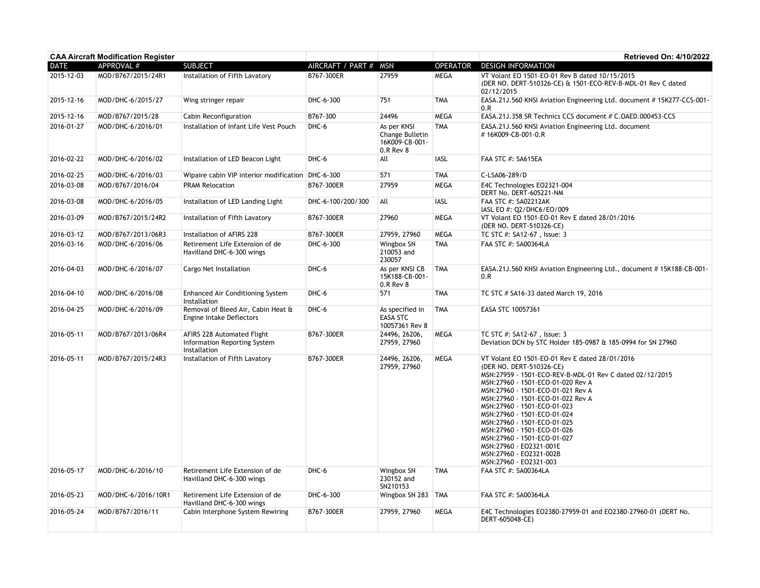| <b>CAA Aircraft Modification Register</b> |                     |                                                                            |                   |                                                               |                 | <b>Retrieved On: 4/10/2022</b>                                                                                                                                                                                                                                                                                                                                                                                                                                                                   |
|-------------------------------------------|---------------------|----------------------------------------------------------------------------|-------------------|---------------------------------------------------------------|-----------------|--------------------------------------------------------------------------------------------------------------------------------------------------------------------------------------------------------------------------------------------------------------------------------------------------------------------------------------------------------------------------------------------------------------------------------------------------------------------------------------------------|
| <b>DATE</b>                               | APPROVAL #          | <b>SUBJECT</b>                                                             | AIRCRAFT / PART # | <b>MSN</b>                                                    | <b>OPERATOR</b> | <b>DESIGN INFORMATION</b>                                                                                                                                                                                                                                                                                                                                                                                                                                                                        |
| 2015-12-03                                | MOD/B767/2015/24R1  | Installation of Fifth Lavatory                                             | B767-300ER        | 27959                                                         | <b>MEGA</b>     | VT Volant EO 1501-EO-01 Rev B dated 10/15/2015<br>(DER NO. DERT-510326-CE) & 1501-ECO-REV-B-MDL-01 Rev C dated<br>02/12/2015                                                                                                                                                                                                                                                                                                                                                                     |
| 2015-12-16                                | MOD/DHC-6/2015/27   | Wing stringer repair                                                       | DHC-6-300         | 751                                                           | <b>TMA</b>      | EASA.21J.560 KNSI Aviation Engineering Ltd. document #15K277-CCS-001-<br>0.R                                                                                                                                                                                                                                                                                                                                                                                                                     |
| 2015-12-16                                | MOD/B767/2015/28    | Cabin Reconfiguration                                                      | B767-300          | 24496                                                         | <b>MEGA</b>     | EASA.21J.358 SR Technics CCS document # C.OAED.000453-CCS                                                                                                                                                                                                                                                                                                                                                                                                                                        |
| 2016-01-27                                | MOD/DHC-6/2016/01   | Installation of Infant Life Vest Pouch                                     | DHC-6             | As per KNSI<br>Change Bulletin<br>16K009-CB-001-<br>0.R Rev 8 | <b>TMA</b>      | EASA.21J.560 KNSI Aviation Engineering Ltd. document<br>#16K009-CB-001-0.R                                                                                                                                                                                                                                                                                                                                                                                                                       |
| 2016-02-22                                | MOD/DHC-6/2016/02   | Installation of LED Beacon Light                                           | DHC-6             | All                                                           | <b>IASL</b>     | FAA STC #: SA615EA                                                                                                                                                                                                                                                                                                                                                                                                                                                                               |
| 2016-02-25                                | MOD/DHC-6/2016/03   | Wipaire cabin VIP interior modification DHC-6-300                          |                   | 571                                                           | <b>TMA</b>      | C-LSA06-289/D                                                                                                                                                                                                                                                                                                                                                                                                                                                                                    |
| 2016-03-08                                | MOD/B767/2016/04    | <b>PRAM Relocation</b>                                                     | B767-300ER        | 27959                                                         | MEGA            | E4C Technologies E02321-004<br>DERT No. DERT-605221-NM                                                                                                                                                                                                                                                                                                                                                                                                                                           |
| 2016-03-08                                | MOD/DHC-6/2016/05   | Installation of LED Landing Light                                          | DHC-6-100/200/300 | All                                                           | IASL            | FAA STC #: SA02212AK<br>IASL EO #: Q2/DHC6/EO/009                                                                                                                                                                                                                                                                                                                                                                                                                                                |
| 2016-03-09                                | MOD/B767/2015/24R2  | Installation of Fifth Lavatory                                             | B767-300ER        | 27960                                                         | <b>MEGA</b>     | VT Volant EO 1501-EO-01 Rev E dated 28/01/2016<br>(DER NO. DERT-510326-CE)                                                                                                                                                                                                                                                                                                                                                                                                                       |
| 2016-03-12                                | MOD/B767/2013/06R3  | Installation of AFIRS 228                                                  | B767-300ER        | 27959, 27960                                                  | <b>MEGA</b>     | TC STC #: SA12-67, Issue: 3                                                                                                                                                                                                                                                                                                                                                                                                                                                                      |
| 2016-03-16                                | MOD/DHC-6/2016/06   | Retirement Life Extension of de<br>Havilland DHC-6-300 wings               | DHC-6-300         | Wingbox SN<br>210053 and<br>230057                            | <b>TMA</b>      | FAA STC #: SA00364LA                                                                                                                                                                                                                                                                                                                                                                                                                                                                             |
| 2016-04-03                                | MOD/DHC-6/2016/07   | Cargo Net Installation                                                     | DHC-6             | As per KNSI CB<br>15K188-CB-001-<br>0.R Rev 8                 | <b>TMA</b>      | EASA.21J.560 KNSI Aviation Engineering Ltd., document #15K188-CB-001-<br>0.R                                                                                                                                                                                                                                                                                                                                                                                                                     |
| 2016-04-10                                | MOD/DHC-6/2016/08   | <b>Enhanced Air Conditioning System</b><br>Installation                    | DHC-6             | 571                                                           | <b>TMA</b>      | TC STC # SA16-33 dated March 19, 2016                                                                                                                                                                                                                                                                                                                                                                                                                                                            |
| 2016-04-25                                | MOD/DHC-6/2016/09   | Removal of Bleed Air, Cabin Heat &<br>Engine Intake Deflectors             | DHC-6             | As specified in<br><b>EASA STC</b><br>10057361 Rev 8          | <b>TMA</b>      | EASA STC 10057361                                                                                                                                                                                                                                                                                                                                                                                                                                                                                |
| 2016-05-11                                | MOD/B767/2013/06R4  | AFIRS 228 Automated Flight<br>Information Reporting System<br>Installation | B767-300ER        | 24496, 26206,<br>27959, 27960                                 | <b>MEGA</b>     | TC STC #: SA12-67, Issue: 3<br>Deviation DCN by STC Holder 185-0987 & 185-0994 for SN 27960                                                                                                                                                                                                                                                                                                                                                                                                      |
| 2016-05-11                                | MOD/B767/2015/24R3  | Installation of Fifth Lavatory                                             | B767-300ER        | 24496, 26206,<br>27959, 27960                                 | <b>MEGA</b>     | VT Volant EO 1501-EO-01 Rev E dated 28/01/2016<br>(DER NO. DERT-510326-CE)<br>MSN:27959 - 1501-ECO-REV-B-MDL-01 Rev C dated 02/12/2015<br>MSN:27960 - 1501-ECO-01-020 Rev A<br>MSN:27960 - 1501-ECO-01-021 Rev A<br>MSN:27960 - 1501-ECO-01-022 Rev A<br>MSN:27960 - 1501-ECO-01-023<br>MSN:27960 - 1501-ECO-01-024<br>MSN:27960 - 1501-ECO-01-025<br>MSN:27960 - 1501-ECO-01-026<br>MSN:27960 - 1501-ECO-01-027<br>MSN:27960 - EO2321-001E<br>MSN:27960 - EO2321-002B<br>MSN:27960 - EO2321-003 |
| 2016-05-17                                | MOD/DHC-6/2016/10   | Retirement Life Extension of de<br>Havilland DHC-6-300 wings               | DHC-6             | Wingbox SN<br>230152 and<br>SN210153                          | <b>TMA</b>      | FAA STC #: SA00364LA                                                                                                                                                                                                                                                                                                                                                                                                                                                                             |
| 2016-05-23                                | MOD/DHC-6/2016/10R1 | Retirement Life Extension of de<br>Havilland DHC-6-300 wings               | DHC-6-300         | Wingbox SN 283   TMA                                          |                 | FAA STC #: SA00364LA                                                                                                                                                                                                                                                                                                                                                                                                                                                                             |
| 2016-05-24                                | MOD/B767/2016/11    | Cabin Interphone System Rewiring                                           | B767-300ER        | 27959, 27960                                                  | <b>MEGA</b>     | E4C Technologies EO2380-27959-01 and EO2380-27960-01 (DERT No.<br>DERT-605048-CE)                                                                                                                                                                                                                                                                                                                                                                                                                |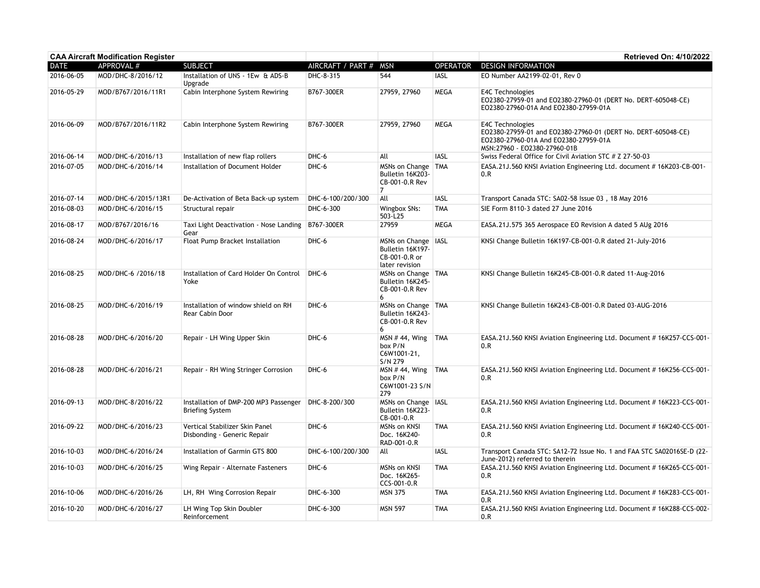| <b>CAA Aircraft Modification Register</b> |                     |                                                                 |                   |                                                                              |                 | Retrieved On: 4/10/2022                                                                                                                                    |
|-------------------------------------------|---------------------|-----------------------------------------------------------------|-------------------|------------------------------------------------------------------------------|-----------------|------------------------------------------------------------------------------------------------------------------------------------------------------------|
| <b>DATE</b>                               | APPROVAL #          | <b>SUBJECT</b>                                                  | AIRCRAFT / PART # | <b>MSN</b>                                                                   | <b>OPERATOR</b> | <b>DESIGN INFORMATION</b>                                                                                                                                  |
| 2016-06-05                                | MOD/DHC-8/2016/12   | Installation of UNS - 1Ew & ADS-B<br>Upgrade                    | DHC-8-315         | 544                                                                          | <b>IASL</b>     | EO Number AA2199-02-01, Rev 0                                                                                                                              |
| 2016-05-29                                | MOD/B767/2016/11R1  | Cabin Interphone System Rewiring                                | B767-300ER        | 27959, 27960                                                                 | <b>MEGA</b>     | <b>E4C Technologies</b><br>EO2380-27959-01 and EO2380-27960-01 (DERT No. DERT-605048-CE)<br>EO2380-27960-01A And EO2380-27959-01A                          |
| 2016-06-09                                | MOD/B767/2016/11R2  | Cabin Interphone System Rewiring                                | B767-300ER        | 27959, 27960                                                                 | <b>MEGA</b>     | E4C Technologies<br>EO2380-27959-01 and EO2380-27960-01 (DERT No. DERT-605048-CE)<br>EO2380-27960-01A And EO2380-27959-01A<br>MSN:27960 - EO2380-27960-01B |
| 2016-06-14                                | MOD/DHC-6/2016/13   | Installation of new flap rollers                                | DHC-6             | All                                                                          | <b>IASL</b>     | Swiss Federal Office for Civil Aviation STC # Z 27-50-03                                                                                                   |
| 2016-07-05                                | MOD/DHC-6/2016/14   | Installation of Document Holder                                 | DHC-6             | MSNs on Change<br>Bulletin 16K203-<br>CB-001-0.R Rev<br>7                    | <b>TMA</b>      | EASA.21J.560 KNSI Aviation Engineering Ltd. document #16K203-CB-001-<br>0.R                                                                                |
| 2016-07-14                                | MOD/DHC-6/2015/13R1 | De-Activation of Beta Back-up system                            | DHC-6-100/200/300 | All                                                                          | <b>IASL</b>     | Transport Canada STC: SA02-58 Issue 03, 18 May 2016                                                                                                        |
| 2016-08-03                                | MOD/DHC-6/2016/15   | Structural repair                                               | DHC-6-300         | Wingbox SNs:<br>503-L25                                                      | <b>TMA</b>      | SIE Form 8110-3 dated 27 June 2016                                                                                                                         |
| 2016-08-17                                | MOD/B767/2016/16    | Taxi Light Deactivation - Nose Landing<br>Gear                  | B767-300ER        | 27959                                                                        | <b>MEGA</b>     | EASA.21J.575 365 Aerospace EO Revision A dated 5 AUg 2016                                                                                                  |
| 2016-08-24                                | MOD/DHC-6/2016/17   | Float Pump Bracket Installation                                 | DHC-6             | MSNs on Change   IASL<br>Bulletin 16K197-<br>CB-001-0.R or<br>later revision |                 | KNSI Change Bulletin 16K197-CB-001-0.R dated 21-July-2016                                                                                                  |
| 2016-08-25                                | MOD/DHC-6 /2016/18  | Installation of Card Holder On Control<br>Yoke                  | DHC-6             | MSNs on Change   TMA<br>Bulletin 16K245-<br>CB-001-0.R Rev<br>6              |                 | KNSI Change Bulletin 16K245-CB-001-0.R dated 11-Aug-2016                                                                                                   |
| 2016-08-25                                | MOD/DHC-6/2016/19   | Installation of window shield on RH<br>Rear Cabin Door          | DHC-6             | MSNs on Change   TMA<br>Bulletin 16K243-<br>CB-001-0.R Rev<br>6              |                 | KNSI Change Bulletin 16K243-CB-001-0.R Dated 03-AUG-2016                                                                                                   |
| 2016-08-28                                | MOD/DHC-6/2016/20   | Repair - LH Wing Upper Skin                                     | DHC-6             | MSN # 44, Wing<br>box P/N<br>C6W1001-21,<br>S/N 279                          | <b>TMA</b>      | EASA.21J.560 KNSI Aviation Engineering Ltd. Document #16K257-CCS-001-<br>0.R                                                                               |
| 2016-08-28                                | MOD/DHC-6/2016/21   | Repair - RH Wing Stringer Corrosion                             | DHC-6             | <b>MSN #44, Wing</b><br>box P/N<br>C6W1001-23 S/N<br>279                     | <b>TMA</b>      | EASA.21J.560 KNSI Aviation Engineering Ltd. Document # 16K256-CCS-001-<br>0.R                                                                              |
| 2016-09-13                                | MOD/DHC-8/2016/22   | Installation of DMP-200 MP3 Passenger<br><b>Briefing System</b> | DHC-8-200/300     | MSNs on Change   IASL<br>Bulletin 16K223-<br>CB-001-0.R                      |                 | EASA.21J.560 KNSI Aviation Engineering Ltd. Document #16K223-CCS-001-<br>0.R                                                                               |
| 2016-09-22                                | MOD/DHC-6/2016/23   | Vertical Stabilizer Skin Panel<br>Disbonding - Generic Repair   | DHC-6             | MSNs on KNSI<br>Doc. 16K240-<br>RAD-001-0.R                                  | <b>TMA</b>      | EASA.21J.560 KNSI Aviation Engineering Ltd. Document #16K240-CCS-001-<br>0.R                                                                               |
| 2016-10-03                                | MOD/DHC-6/2016/24   | Installation of Garmin GTS 800                                  | DHC-6-100/200/300 | All                                                                          | <b>IASL</b>     | Transport Canada STC: SA12-72 Issue No. 1 and FAA STC SA02016SE-D (22-<br>June-2012) referred to therein                                                   |
| 2016-10-03                                | MOD/DHC-6/2016/25   | Wing Repair - Alternate Fasteners                               | DHC-6             | <b>MSNs on KNSI</b><br>Doc. 16K265-<br>CCS-001-0.R                           | <b>TMA</b>      | EASA.21J.560 KNSI Aviation Engineering Ltd. Document # 16K265-CCS-001-<br>0.R                                                                              |
| 2016-10-06                                | MOD/DHC-6/2016/26   | LH, RH Wing Corrosion Repair                                    | DHC-6-300         | <b>MSN 375</b>                                                               | <b>TMA</b>      | EASA.21J.560 KNSI Aviation Engineering Ltd. Document # 16K283-CCS-001-<br>0.R                                                                              |
| 2016-10-20                                | MOD/DHC-6/2016/27   | LH Wing Top Skin Doubler<br>Reinforcement                       | DHC-6-300         | <b>MSN 597</b>                                                               | <b>TMA</b>      | EASA.21J.560 KNSI Aviation Engineering Ltd. Document #16K288-CCS-002-<br>0.R                                                                               |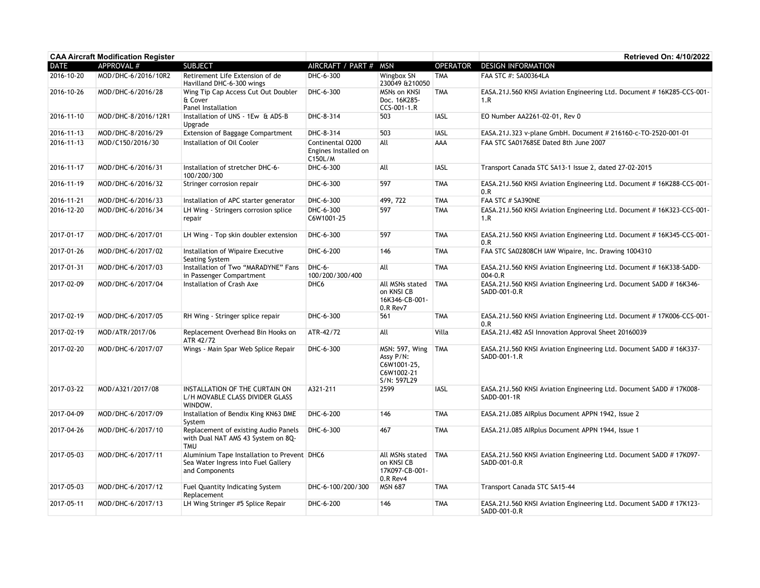| <b>CAA Aircraft Modification Register</b> |                     |                                                                                                      |                                                     |                                                                                |                 | Retrieved On: 4/10/2022                                                             |
|-------------------------------------------|---------------------|------------------------------------------------------------------------------------------------------|-----------------------------------------------------|--------------------------------------------------------------------------------|-----------------|-------------------------------------------------------------------------------------|
| <b>DATE</b>                               | <b>APPROVAL #</b>   | <b>SUBJECT</b>                                                                                       | AIRCRAFT / PART #                                   | <b>MSN</b>                                                                     | <b>OPERATOR</b> | <b>DESIGN INFORMATION</b>                                                           |
| 2016-10-20                                | MOD/DHC-6/2016/10R2 | Retirement Life Extension of de<br>Havilland DHC-6-300 wings                                         | DHC-6-300                                           | Wingbox SN<br>230049 &210050                                                   | <b>TMA</b>      | FAA STC #: SA00364LA                                                                |
| 2016-10-26                                | MOD/DHC-6/2016/28   | Wing Tip Cap Access Cut Out Doubler<br>& Cover<br>Panel Installation                                 | DHC-6-300                                           | <b>MSNs on KNSI</b><br>Doc. 16K285-<br>CCS-001-1.R                             | <b>TMA</b>      | EASA.21J.560 KNSI Aviation Engineering Ltd. Document #16K285-CCS-001-<br>1.R        |
| 2016-11-10                                | MOD/DHC-8/2016/12R1 | Installation of UNS - 1Ew & ADS-B<br>Upgrade                                                         | DHC-8-314                                           | 503                                                                            | <b>IASL</b>     | EO Number AA2261-02-01, Rev 0                                                       |
| 2016-11-13                                | MOD/DHC-8/2016/29   | <b>Extension of Baggage Compartment</b>                                                              | DHC-8-314                                           | 503                                                                            | <b>IASL</b>     | EASA.21J.323 v-plane GmbH. Document # 216160-c-TO-2520-001-01                       |
| 2016-11-13                                | MOD/C150/2016/30    | Installation of Oil Cooler                                                                           | Continental 0200<br>Engines Installed on<br>C150L/M | All                                                                            | AAA             | FAA STC SA01768SE Dated 8th June 2007                                               |
| 2016-11-17                                | MOD/DHC-6/2016/31   | Installation of stretcher DHC-6-<br>100/200/300                                                      | DHC-6-300                                           | All                                                                            | <b>IASL</b>     | Transport Canada STC SA13-1 Issue 2, dated 27-02-2015                               |
| 2016-11-19                                | MOD/DHC-6/2016/32   | Stringer corrosion repair                                                                            | DHC-6-300                                           | 597                                                                            | <b>TMA</b>      | EASA.21J.560 KNSI Aviation Engineering Ltd. Document #16K288-CCS-001-<br>0.R        |
| 2016-11-21                                | MOD/DHC-6/2016/33   | Installation of APC starter generator                                                                | DHC-6-300                                           | 499, 722                                                                       | <b>TMA</b>      | FAA STC # SA390NE                                                                   |
| 2016-12-20                                | MOD/DHC-6/2016/34   | LH Wing - Stringers corrosion splice<br>repair                                                       | DHC-6-300<br>C6W1001-25                             | 597                                                                            | <b>TMA</b>      | EASA.21J.560 KNSI Aviation Engineering Ltd. Document #16K323-CCS-001-<br>1.R        |
| 2017-01-17                                | MOD/DHC-6/2017/01   | LH Wing - Top skin doubler extension                                                                 | DHC-6-300                                           | 597                                                                            | <b>TMA</b>      | EASA.21J.560 KNSI Aviation Engineering Ltd. Document #16K345-CCS-001-<br>0.R        |
| 2017-01-26                                | MOD/DHC-6/2017/02   | Installation of Wipaire Executive<br>Seating System                                                  | DHC-6-200                                           | 146                                                                            | <b>TMA</b>      | FAA STC SA02808CH IAW Wipaire, Inc. Drawing 1004310                                 |
| 2017-01-31                                | MOD/DHC-6/2017/03   | Installation of Two "MARADYNE" Fans<br>in Passenger Compartment                                      | DHC-6-<br>100/200/300/400                           | All                                                                            | <b>TMA</b>      | EASA.21J.560 KNSI Aviation Engineering Ltd. Document #16K338-SADD-<br>$004 - 0.R$   |
| 2017-02-09                                | MOD/DHC-6/2017/04   | Installation of Crash Axe                                                                            | DHC <sub>6</sub>                                    | All MSNs stated<br>on KNSI CB<br>16K346-CB-001-<br>0.R Rev7                    | <b>TMA</b>      | EASA.21J.560 KNSI Aviation Engineering Lrd. Document SADD # 16K346-<br>SADD-001-0.R |
| 2017-02-19                                | MOD/DHC-6/2017/05   | RH Wing - Stringer splice repair                                                                     | DHC-6-300                                           | 561                                                                            | <b>TMA</b>      | EASA.21J.560 KNSI Aviation Engineering Ltd. Document #17K006-CCS-001-<br>0.R        |
| 2017-02-19                                | MOD/ATR/2017/06     | Replacement Overhead Bin Hooks on<br>ATR 42/72                                                       | ATR-42/72                                           | All                                                                            | Villa           | EASA.21J.482 ASI Innovation Approval Sheet 20160039                                 |
| 2017-02-20                                | MOD/DHC-6/2017/07   | Wings - Main Spar Web Splice Repair                                                                  | DHC-6-300                                           | <b>MSN: 597, Wing</b><br>Assy P/N:<br>C6W1001-25,<br>C6W1002-21<br>S/N: 597L29 | <b>TMA</b>      | EASA.21J.560 KNSI Aviation Engineering Ltd. Document SADD # 16K337-<br>SADD-001-1.R |
| 2017-03-22                                | MOD/A321/2017/08    | INSTALLATION OF THE CURTAIN ON<br>L/H MOVABLE CLASS DIVIDER GLASS<br>WINDOW.                         | A321-211                                            | 2599                                                                           | <b>IASL</b>     | EASA.21J.560 KNSI Aviation Engineering Ltd. Document SADD # 17K008-<br>SADD-001-1R  |
| 2017-04-09                                | MOD/DHC-6/2017/09   | Installation of Bendix King KN63 DME<br>System                                                       | DHC-6-200                                           | 146                                                                            | <b>TMA</b>      | EASA.21J.085 AIRplus Document APPN 1942, Issue 2                                    |
| 2017-04-26                                | MOD/DHC-6/2017/10   | Replacement of existing Audio Panels<br>with Dual NAT AMS 43 System on 8Q-<br><b>TMU</b>             | DHC-6-300                                           | 467                                                                            | <b>TMA</b>      | EASA.21J.085 AIRplus Document APPN 1944, Issue 1                                    |
| 2017-05-03                                | MOD/DHC-6/2017/11   | Aluminium Tape Installation to Prevent DHC6<br>Sea Water Ingress into Fuel Gallery<br>and Components |                                                     | All MSNs stated<br>on KNSI CB<br>17K097-CB-001-<br>0.R Rev4                    | <b>TMA</b>      | EASA.21J.560 KNSI Aviation Engineering Ltd. Document SADD # 17K097-<br>SADD-001-0.R |
| 2017-05-03                                | MOD/DHC-6/2017/12   | Fuel Quantity Indicating System<br>Replacement                                                       | DHC-6-100/200/300                                   | <b>MSN 687</b>                                                                 | <b>TMA</b>      | Transport Canada STC SA15-44                                                        |
| 2017-05-11                                | MOD/DHC-6/2017/13   | LH Wing Stringer #5 Splice Repair                                                                    | DHC-6-200                                           | 146                                                                            | <b>TMA</b>      | EASA.21J.560 KNSI Aviation Engineering Ltd. Document SADD # 17K123-<br>SADD-001-0.R |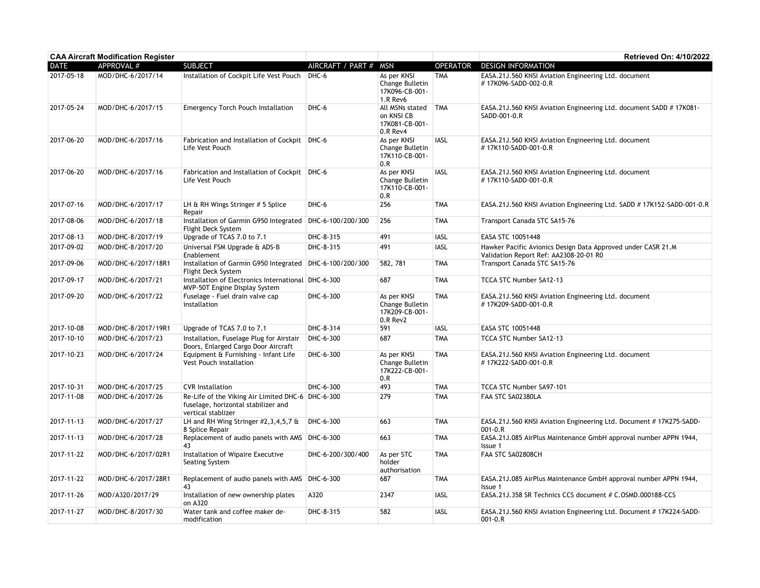| <b>CAA Aircraft Modification Register</b> |                     |                                                                                                                |                       |                                                              |                 | Retrieved On: 4/10/2022                                                                                |
|-------------------------------------------|---------------------|----------------------------------------------------------------------------------------------------------------|-----------------------|--------------------------------------------------------------|-----------------|--------------------------------------------------------------------------------------------------------|
| <b>DATE</b>                               | <b>APPROVAL #</b>   | <b>SUBJECT</b>                                                                                                 | AIRCRAFT / PART # MSN |                                                              | <b>OPERATOR</b> | <b>DESIGN INFORMATION</b>                                                                              |
| 2017-05-18                                | MOD/DHC-6/2017/14   | Installation of Cockpit Life Vest Pouch                                                                        | DHC-6                 | As per KNSI<br>Change Bulletin<br>17K096-CB-001-<br>1.R Rev6 | <b>TMA</b>      | EASA.21J.560 KNSI Aviation Engineering Ltd. document<br>#17K096-SADD-002-0.R                           |
| 2017-05-24                                | MOD/DHC-6/2017/15   | <b>Emergency Torch Pouch Installation</b>                                                                      | DHC-6                 | All MSNs stated<br>on KNSI CB<br>17K081-CB-001-<br>0.R Rev4  | <b>TMA</b>      | EASA, 21J, 560 KNSI Aviation Engineering Ltd. document SADD # 17K081-<br>SADD-001-0.R                  |
| 2017-06-20                                | MOD/DHC-6/2017/16   | Fabrication and Installation of Cockpit   DHC-6<br>Life Vest Pouch                                             |                       | As per KNSI<br>Change Bulletin<br>17K110-CB-001-<br>0.R      | <b>IASL</b>     | EASA.21J.560 KNSI Aviation Engineering Ltd. document<br>#17K110-SADD-001-0.R                           |
| 2017-06-20                                | MOD/DHC-6/2017/16   | Fabrication and Installation of Cockpit   DHC-6<br>Life Vest Pouch                                             |                       | As per KNSI<br>Change Bulletin<br>17K110-CB-001-<br>0.R      | <b>IASL</b>     | EASA.21J.560 KNSI Aviation Engineering Ltd. document<br>#17K110-SADD-001-0.R                           |
| 2017-07-16                                | MOD/DHC-6/2017/17   | LH & RH Wings Stringer # 5 Splice<br>Repair                                                                    | DHC-6                 | 256                                                          | <b>TMA</b>      | EASA.21J.560 KNSI Aviation Engineering Ltd. SADD #17K152-SADD-001-0.R                                  |
| 2017-08-06                                | MOD/DHC-6/2017/18   | Installation of Garmin G950 Integrated   DHC-6-100/200/300<br>Flight Deck System                               |                       | 256                                                          | <b>TMA</b>      | Transport Canada STC SA15-76                                                                           |
| 2017-08-13                                | MOD/DHC-8/2017/19   | Upgrade of TCAS 7.0 to 7.1                                                                                     | DHC-8-315             | 491                                                          | <b>IASL</b>     | EASA STC 10051448                                                                                      |
| 2017-09-02                                | MOD/DHC-8/2017/20   | Universal FSM Upgrade & ADS-B<br>Enablement                                                                    | DHC-8-315             | 491                                                          | <b>IASL</b>     | Hawker Pacific Avionics Design Data Approved under CASR 21.M<br>Validation Report Ref: AA2308-20-01 R0 |
| 2017-09-06                                | MOD/DHC-6/2017/18R1 | Installation of Garmin G950 Integrated DHC-6-100/200/300<br>Flight Deck System                                 |                       | 582, 781                                                     | <b>TMA</b>      | Transport Canada STC SA15-76                                                                           |
| 2017-09-17                                | MOD/DHC-6/2017/21   | Installation of Electronics International DHC-6-300<br>MVP-50T Engine Display System                           |                       | 687                                                          | <b>TMA</b>      | TCCA STC Number SA12-13                                                                                |
| 2017-09-20                                | MOD/DHC-6/2017/22   | Fuselage - Fuel drain valve cap<br>installation                                                                | DHC-6-300             | As per KNSI<br>Change Bulletin<br>17K209-CB-001-<br>0.R Rev2 | <b>TMA</b>      | EASA.21J.560 KNSI Aviation Engineering Ltd. document<br>#17K209-SADD-001-0.R                           |
| 2017-10-08                                | MOD/DHC-8/2017/19R1 | Upgrade of TCAS 7.0 to 7.1                                                                                     | DHC-8-314             | 591                                                          | <b>IASL</b>     | EASA STC 10051448                                                                                      |
| 2017-10-10                                | MOD/DHC-6/2017/23   | Installation, Fuselage Plug for Airstair<br>Doors, Enlarged Cargo Door Aircraft                                | DHC-6-300             | 687                                                          | <b>TMA</b>      | TCCA STC Number SA12-13                                                                                |
| 2017-10-23                                | MOD/DHC-6/2017/24   | Equipment & Furnishing - Infant Life<br><b>Vest Pouch installation</b>                                         | DHC-6-300             | As per KNSI<br>Change Bulletin<br>17K222-CB-001-<br>0.R      | <b>TMA</b>      | EASA.21J.560 KNSI Aviation Engineering Ltd. document<br>#17K222-SADD-001-0.R                           |
| 2017-10-31                                | MOD/DHC-6/2017/25   | <b>CVR</b> Installation                                                                                        | DHC-6-300             | 493                                                          | <b>TMA</b>      | TCCA STC Number SA97-101                                                                               |
| 2017-11-08                                | MOD/DHC-6/2017/26   | Re-Life of the Viking Air Limited DHC-6 DHC-6-300<br>fuselage, horizontal stabilizer and<br>vertical stablizer |                       | 279                                                          | <b>TMA</b>      | FAA STC SA02380LA                                                                                      |
| 2017-11-13                                | MOD/DHC-6/2017/27   | LH and RH Wing Stringer #2,3,4,5,7 &<br>8 Splice Repair                                                        | DHC-6-300             | 663                                                          | <b>TMA</b>      | EASA.21J.560 KNSI Aviation Engineering Ltd. Document #17K275-SADD-<br>$001 - 0. R$                     |
| 2017-11-13                                | MOD/DHC-6/2017/28   | Replacement of audio panels with AMS DHC-6-300<br>43                                                           |                       | 663                                                          | <b>TMA</b>      | EASA.21J.085 AirPlus Maintenance GmbH approval number APPN 1944,<br>Issue 1                            |
| 2017-11-22                                | MOD/DHC-6/2017/02R1 | Installation of Wipaire Executive<br>Seating System                                                            | DHC-6-200/300/400     | As per STC<br>holder<br>authorisation                        | <b>TMA</b>      | FAA STC SA02808CH                                                                                      |
| 2017-11-22                                | MOD/DHC-6/2017/28R1 | Replacement of audio panels with AMS DHC-6-300<br>43                                                           |                       | 687                                                          | <b>TMA</b>      | EASA.21J.085 AirPlus Maintenance GmbH approval number APPN 1944,<br>Issue 1                            |
| 2017-11-26                                | MOD/A320/2017/29    | Installation of new ownership plates<br>on A320                                                                | A320                  | 2347                                                         | <b>IASL</b>     | EASA.21J.358 SR Technics CCS document # C.0SMD.000188-CCS                                              |
| 2017-11-27                                | MOD/DHC-8/2017/30   | Water tank and coffee maker de-<br>modification                                                                | DHC-8-315             | 582                                                          | IASL            | EASA.21J.560 KNSI Aviation Engineering Ltd. Document #17K224-SADD-<br>$001 - 0.R$                      |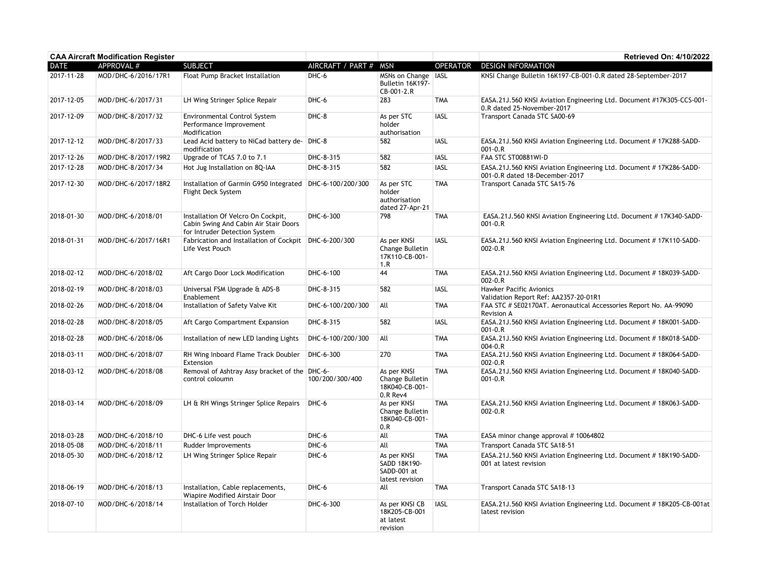| <b>CAA Aircraft Modification Register</b> |                     |                                                                                                              |                       |                                                               |                 | <b>Retrieved On: 4/10/2022</b>                                                                       |
|-------------------------------------------|---------------------|--------------------------------------------------------------------------------------------------------------|-----------------------|---------------------------------------------------------------|-----------------|------------------------------------------------------------------------------------------------------|
| <b>DATE</b>                               | APPROVAL #          | <b>SUBJECT</b>                                                                                               | AIRCRAFT / PART # MSN |                                                               | <b>OPERATOR</b> | <b>DESIGN INFORMATION</b>                                                                            |
| 2017-11-28                                | MOD/DHC-6/2016/17R1 | <b>Float Pump Bracket Installation</b>                                                                       | DHC-6                 | MSNs on Change   IASL<br>Bulletin 16K197-<br>CB-001-2.R       |                 | KNSI Change Bulletin 16K197-CB-001-0.R dated 28-September-2017                                       |
| 2017-12-05                                | MOD/DHC-6/2017/31   | LH Wing Stringer Splice Repair                                                                               | DHC-6                 | 283                                                           | <b>TMA</b>      | EASA.21J.560 KNSI Aviation Engineering Ltd. Document #17K305-CCS-001-<br>0.R dated 25-November-2017  |
| 2017-12-09                                | MOD/DHC-8/2017/32   | <b>Environmental Control System</b><br>Performance Improvement<br>Modification                               | DHC-8                 | As per STC<br>holder<br>authorisation                         | <b>IASL</b>     | Transport Canada STC SA00-69                                                                         |
| 2017-12-12                                | MOD/DHC-8/2017/33   | Lead Acid battery to NiCad battery de- DHC-8<br>modification                                                 |                       | 582                                                           | <b>IASL</b>     | EASA.21J.560 KNSI Aviation Engineering Ltd. Document #17K288-SADD-<br>$001 - 0.R$                    |
| 2017-12-26                                | MOD/DHC-8/2017/19R2 | Upgrade of TCAS 7.0 to 7.1                                                                                   | DHC-8-315             | 582                                                           | <b>IASL</b>     | FAA STC ST00881WI-D                                                                                  |
| 2017-12-28                                | MOD/DHC-8/2017/34   | Hot Jug Installation on 8Q-IAA                                                                               | DHC-8-315             | 582                                                           | IASL            | EASA.21J.560 KNSI Aviation Engineering Ltd. Document #17K286-SADD-<br>001-0.R dated 18-December-2017 |
| 2017-12-30                                | MOD/DHC-6/2017/18R2 | Installation of Garmin G950 Integrated DHC-6-100/200/300<br>Flight Deck System                               |                       | As per STC<br>holder<br>authorisation<br>dated 27-Apr-21      | <b>TMA</b>      | Transport Canada STC SA15-76                                                                         |
| 2018-01-30                                | MOD/DHC-6/2018/01   | Installation Of Velcro On Cockpit,<br>Cabin Swing And Cabin Air Stair Doors<br>for Intruder Detection System | DHC-6-300             | 798                                                           | <b>TMA</b>      | EASA.21J.560 KNSI Aviation Engineering Ltd. Document #17K340-SADD-<br>$001 - 0.R$                    |
| 2018-01-31                                | MOD/DHC-6/2017/16R1 | Fabrication and Installation of Cockpit   DHC-6-200/300<br>Life Vest Pouch                                   |                       | As per KNSI<br>Change Bulletin<br>17K110-CB-001-<br>1.R       | <b>IASL</b>     | EASA.21J.560 KNSI Aviation Engineering Ltd. Document #17K110-SADD-<br>$002 - 0.R$                    |
| 2018-02-12                                | MOD/DHC-6/2018/02   | Aft Cargo Door Lock Modification                                                                             | DHC-6-100             | 44                                                            | <b>TMA</b>      | EASA.21J.560 KNSI Aviation Engineering Ltd. Document #18K039-SADD-<br>$002 - 0.R$                    |
| 2018-02-19                                | MOD/DHC-8/2018/03   | Universal FSM Upgrade & ADS-B<br>Enablement                                                                  | DHC-8-315             | 582                                                           | <b>IASL</b>     | Hawker Pacific Avionics<br>Validation Report Ref: AA2357-20-01R1                                     |
| 2018-02-26                                | MOD/DHC-6/2018/04   | Installation of Safety Valve Kit                                                                             | DHC-6-100/200/300     | All                                                           | <b>TMA</b>      | FAA STC # SE02170AT. Aeronautical Accessories Report No. AA-99090<br>Revision A                      |
| 2018-02-28                                | MOD/DHC-8/2018/05   | Aft Cargo Compartment Expansion                                                                              | DHC-8-315             | 582                                                           | <b>IASL</b>     | EASA.21J.560 KNSI Aviation Engineering Ltd. Document #18K001-SADD-<br>$001 - 0.R$                    |
| 2018-02-28                                | MOD/DHC-6/2018/06   | Installation of new LED landing Lights                                                                       | DHC-6-100/200/300     | All                                                           | <b>TMA</b>      | EASA.21J.560 KNSI Aviation Engineering Ltd. Document #18K018-SADD-<br>$004 - 0.R$                    |
| 2018-03-11                                | MOD/DHC-6/2018/07   | RH Wing Inboard Flame Track Doubler<br>Extension                                                             | DHC-6-300             | 270                                                           | <b>TMA</b>      | EASA.21J.560 KNSI Aviation Engineering Ltd. Document #18K064-SADD-<br>$002 - 0.R$                    |
| 2018-03-12                                | MOD/DHC-6/2018/08   | Removal of Ashtray Assy bracket of the DHC-6-<br>control coloumn                                             | 100/200/300/400       | As per KNSI<br>Change Bulletin<br>18K040-CB-001-<br>0.R Rev4  | <b>TMA</b>      | EASA.21J.560 KNSI Aviation Engineering Ltd. Document #18K040-SADD-<br>$001 - 0.R$                    |
| 2018-03-14                                | MOD/DHC-6/2018/09   | LH & RH Wings Stringer Splice Repairs                                                                        | DHC-6                 | As per KNSI<br>Change Bulletin<br>18K040-CB-001-<br>0.R       | <b>TMA</b>      | EASA.21J.560 KNSI Aviation Engineering Ltd. Document #18K063-SADD-<br>$002 - 0.R$                    |
| 2018-03-28                                | MOD/DHC-6/2018/10   | DHC-6 Life vest pouch                                                                                        | DHC-6                 | All                                                           | <b>TMA</b>      | EASA minor change approval #10064802                                                                 |
| 2018-05-08                                | MOD/DHC-6/2018/11   | Rudder Improvements                                                                                          | DHC-6                 | All                                                           | <b>TMA</b>      | Transport Canada STC SA18-51                                                                         |
| 2018-05-30                                | MOD/DHC-6/2018/12   | LH Wing Stringer Splice Repair                                                                               | DHC-6                 | As per KNSI<br>SADD 18K190-<br>SADD-001 at<br>latest revision | <b>TMA</b>      | EASA.21J.560 KNSI Aviation Engineering Ltd. Document #18K190-SADD-<br>001 at latest revision         |
| 2018-06-19                                | MOD/DHC-6/2018/13   | Installation, Cable replacements,<br>Wiapire Modified Airstair Door                                          | DHC-6                 | All                                                           | <b>TMA</b>      | Transport Canada STC SA18-13                                                                         |
| 2018-07-10                                | MOD/DHC-6/2018/14   | Installation of Torch Holder                                                                                 | DHC-6-300             | As per KNSI CB<br>18K205-CB-001<br>at latest<br>revision      | <b>IASL</b>     | EASA.21J.560 KNSI Aviation Engineering Ltd. Document #18K205-CB-001at<br>latest revision             |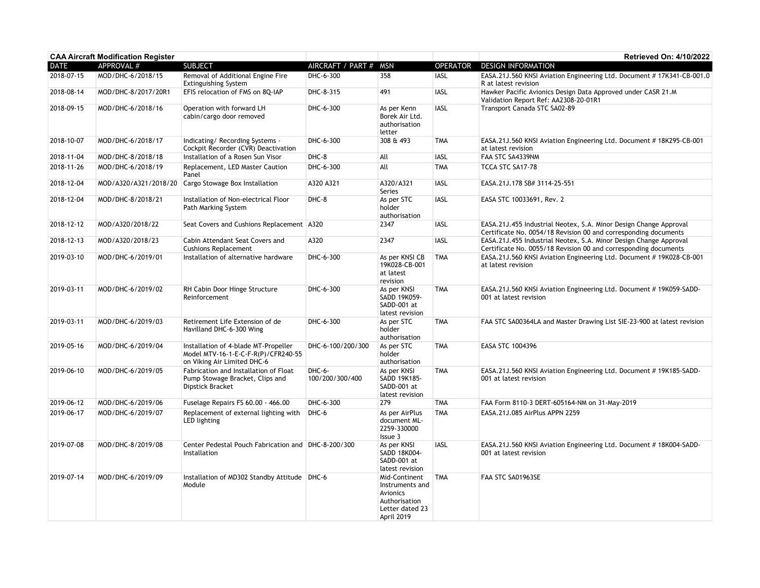| <b>CAA Aircraft Modification Register</b> |                     |                                                                                                            |                             |                                                                                                |                 | Retrieved On: 4/10/2022                                                                                                              |
|-------------------------------------------|---------------------|------------------------------------------------------------------------------------------------------------|-----------------------------|------------------------------------------------------------------------------------------------|-----------------|--------------------------------------------------------------------------------------------------------------------------------------|
| <b>DATE</b>                               | APPROVAL #          | <b>SUBJECT</b>                                                                                             | AIRCRAFT / PART #           | <b>MSN</b>                                                                                     | <b>OPERATOR</b> | <b>DESIGN INFORMATION</b>                                                                                                            |
| 2018-07-15                                | MOD/DHC-6/2018/15   | Removal of Additional Engine Fire<br><b>Extinguishing System</b>                                           | DHC-6-300                   | 358                                                                                            | <b>IASL</b>     | EASA.21J.560 KNSI Aviation Engineering Ltd. Document #17K341-CB-001.0<br>R at latest revision                                        |
| 2018-08-14                                | MOD/DHC-8/2017/20R1 | EFIS relocation of FMS on 8Q-IAP                                                                           | DHC-8-315                   | 491                                                                                            | <b>IASL</b>     | Hawker Pacific Avionics Design Data Approved under CASR 21.M<br>Validation Report Ref: AA2308-20-01R1                                |
| 2018-09-15                                | MOD/DHC-6/2018/16   | Operation with forward LH<br>cabin/cargo door removed                                                      | DHC-6-300                   | As per Kenn<br>Borek Air Ltd.<br>authorisation<br>letter                                       | <b>IASL</b>     | Transport Canada STC SA02-89                                                                                                         |
| 2018-10-07                                | MOD/DHC-6/2018/17   | Indicating/ Recording Systems -<br>Cockpit Recorder (CVR) Deactivation                                     | DHC-6-300                   | 308 & 493                                                                                      | <b>TMA</b>      | EASA.21J.560 KNSI Aviation Engineering Ltd. Document #18K295-CB-001<br>at latest revision                                            |
| 2018-11-04                                | MOD/DHC-8/2018/18   | Installation of a Rosen Sun Visor                                                                          | DHC-8                       | All                                                                                            | <b>IASL</b>     | FAA STC SA4339NM                                                                                                                     |
| 2018-11-26                                | MOD/DHC-6/2018/19   | Replacement, LED Master Caution<br>Panel                                                                   | DHC-6-300                   | All                                                                                            | <b>TMA</b>      | TCCA STC SA17-78                                                                                                                     |
| 2018-12-04                                |                     | MOD/A320/A321/2018/20 Cargo Stowage Box Installation                                                       | A320 A321                   | A320/A321<br><b>Series</b>                                                                     | <b>IASL</b>     | EASA.21J.178 SB# 3114-25-551                                                                                                         |
| 2018-12-04                                | MOD/DHC-8/2018/21   | Installation of Non-electrical Floor<br>Path Marking System                                                | DHC-8                       | As per STC<br>holder<br>authorisation                                                          | <b>IASL</b>     | EASA STC 10033691, Rev. 2                                                                                                            |
| 2018-12-12                                | MOD/A320/2018/22    | Seat Covers and Cushions Replacement   A320                                                                |                             | 2347                                                                                           | <b>IASL</b>     | EASA.21J.455 Industrial Neotex, S.A. Minor Design Change Approval<br>Certificate No. 0054/18 Revision 00 and corresponding documents |
| 2018-12-13                                | MOD/A320/2018/23    | Cabin Attendant Seat Covers and<br><b>Cushions Replacement</b>                                             | A320                        | 2347                                                                                           | <b>IASL</b>     | EASA.21J.455 Industrial Neotex, S.A. Minor Design Change Approval<br>Certificate No. 0055/18 Revision 00 and corresponding documents |
| 2019-03-10                                | MOD/DHC-6/2019/01   | Installation of alternative hardware                                                                       | DHC-6-300                   | As per KNSI CB<br>19K028-CB-001<br>at latest<br>revision                                       | <b>TMA</b>      | EASA.21J.560 KNSI Aviation Engineering Ltd. Document #19K028-CB-001<br>at latest revision                                            |
| 2019-03-11                                | MOD/DHC-6/2019/02   | RH Cabin Door Hinge Structure<br>Reinforcement                                                             | DHC-6-300                   | As per KNSI<br>SADD 19K059-<br>SADD-001 at<br>latest revision                                  | <b>TMA</b>      | EASA.21J.560 KNSI Aviation Engineering Ltd. Document #19K059-SADD-<br>001 at latest revision                                         |
| 2019-03-11                                | MOD/DHC-6/2019/03   | Retirement Life Extension of de<br>Havilland DHC-6-300 Wing                                                | DHC-6-300                   | As per STC<br>holder<br>authorisation                                                          | <b>TMA</b>      | FAA STC SA00364LA and Master Drawing List SIE-23-900 at latest revision                                                              |
| 2019-05-16                                | MOD/DHC-6/2019/04   | Installation of 4-blade MT-Propeller<br>Model MTV-16-1-E-C-F-R(P)/CFR240-55<br>on Viking Air Limited DHC-6 | DHC-6-100/200/300           | As per STC<br>holder<br>authorisation                                                          | <b>TMA</b>      | EASA STC 1004396                                                                                                                     |
| 2019-06-10                                | MOD/DHC-6/2019/05   | Fabrication and Installation of Float<br>Pump Stowage Bracket, Clips and<br>Dipstick Bracket               | $DHC-6-$<br>100/200/300/400 | As per KNSI<br>SADD 19K185-<br>SADD-001 at<br>latest revision                                  | <b>TMA</b>      | EASA.21J.560 KNSI Aviation Engineering Ltd. Document #19K185-SADD-<br>001 at latest revision                                         |
| 2019-06-12                                | MOD/DHC-6/2019/06   | Fuselage Repairs FS 60.00 - 466.00                                                                         | DHC-6-300                   | 279                                                                                            | <b>TMA</b>      | FAA Form 8110-3 DERT-605164-NM on 31-May-2019                                                                                        |
| 2019-06-17                                | MOD/DHC-6/2019/07   | Replacement of external lighting with<br>LED lighting                                                      | DHC-6                       | As per AirPlus<br>document ML-<br>2259-330000<br>Issue 3                                       | <b>TMA</b>      | EASA.21J.085 AirPlus APPN 2259                                                                                                       |
| 2019-07-08                                | MOD/DHC-8/2019/08   | Center Pedestal Pouch Fabrication and DHC-8-200/300<br>Installation                                        |                             | As per KNSI<br>SADD 18K004-<br>SADD-001 at<br>latest revision                                  | <b>IASL</b>     | EASA.21J.560 KNSI Aviation Engineering Ltd. Document #18K004-SADD-<br>001 at latest revision                                         |
| 2019-07-14                                | MOD/DHC-6/2019/09   | Installation of MD302 Standby Attitude   DHC-6<br>Module                                                   |                             | Mid-Continent<br>Instruments and<br>Avionics<br>Authorisation<br>Letter dated 23<br>April 2019 | <b>TMA</b>      | FAA STC SA01963SE                                                                                                                    |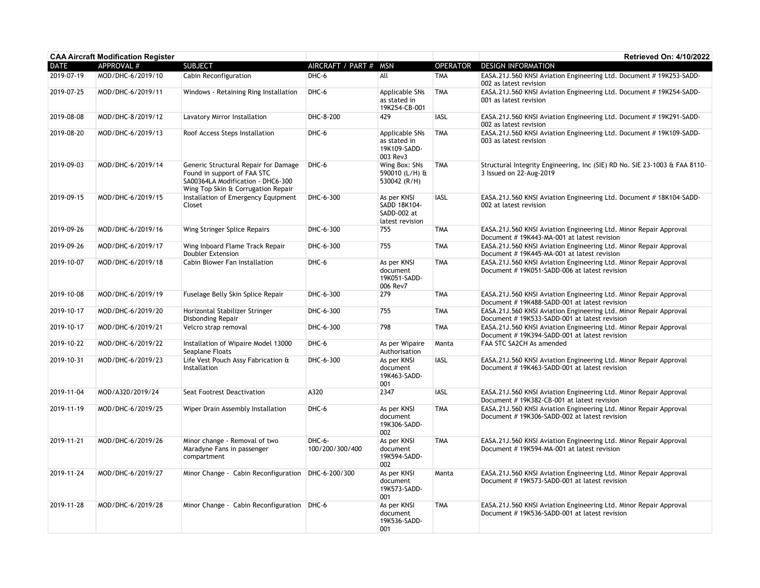|             | <b>CAA Aircraft Modification Register</b> |                                                                                                                                                |                           |                                                               |                 | Retrieved On: 4/10/2022                                                                                            |
|-------------|-------------------------------------------|------------------------------------------------------------------------------------------------------------------------------------------------|---------------------------|---------------------------------------------------------------|-----------------|--------------------------------------------------------------------------------------------------------------------|
| <b>DATE</b> | APPROVAL #                                | <b>SUBJECT</b>                                                                                                                                 | AIRCRAFT / PART # MSN     |                                                               | <b>OPERATOR</b> | <b>DESIGN INFORMATION</b>                                                                                          |
| 2019-07-19  | MOD/DHC-6/2019/10                         | Cabin Reconfiguration                                                                                                                          | DHC-6                     | All                                                           | <b>TMA</b>      | EASA.21J.560 KNSI Aviation Engineering Ltd. Document #19K253-SADD-<br>002 as latest revision                       |
| 2019-07-25  | MOD/DHC-6/2019/11                         | Windows - Retaining Ring Installation                                                                                                          | DHC-6                     | Applicable SNs<br>as stated in<br>19K254-CB-001               | <b>TMA</b>      | EASA.21J.560 KNSI Aviation Engineering Ltd. Document #19K254-SADD-<br>001 as latest revision                       |
| 2019-08-08  | MOD/DHC-8/2019/12                         | Lavatory Mirror Installation                                                                                                                   | DHC-8-200                 | 429                                                           | <b>IASL</b>     | EASA.21J.560 KNSI Aviation Engineering Ltd. Document # 19K291-SADD-<br>002 as latest revision                      |
| 2019-08-20  | MOD/DHC-6/2019/13                         | Roof Access Steps Installation                                                                                                                 | DHC-6                     | Applicable SNs<br>as stated in<br>19K109-SADD-<br>003 Rev3    | <b>TMA</b>      | EASA.21J.560 KNSI Aviation Engineering Ltd. Document #19K109-SADD-<br>003 as latest revision                       |
| 2019-09-03  | MOD/DHC-6/2019/14                         | Generic Structural Repair for Damage<br>Found in support of FAA STC<br>SA00364LA Modification - DHC6-300<br>Wing Top Skin & Corrugation Repair | DHC-6                     | Wing Box: SNs<br>590010 (L/H) &<br>530042 (R/H)               | <b>TMA</b>      | Structural Integrity Engineering, Inc (SIE) RD No. SIE 23-1003 & FAA 8110-<br>3 Issued on 22-Aug-2019              |
| 2019-09-15  | MOD/DHC-6/2019/15                         | Installation of Emergency Equipment<br>Closet                                                                                                  | DHC-6-300                 | As per KNSI<br>SADD 18K104-<br>SADD-002 at<br>latest revision | <b>IASL</b>     | EASA.21J.560 KNSI Aviation Engineering Ltd. Document #18K104-SADD-<br>002 at latest revision                       |
| 2019-09-26  | MOD/DHC-6/2019/16                         | Wing Stringer Splice Repairs                                                                                                                   | DHC-6-300                 | 755                                                           | <b>TMA</b>      | EASA.21J.560 KNSI Aviation Engineering Ltd. Minor Repair Approval<br>Document # 19K443-MA-001 at latest revision   |
| 2019-09-26  | MOD/DHC-6/2019/17                         | Wing Inboard Flame Track Repair<br><b>Doubler Extension</b>                                                                                    | DHC-6-300                 | 755                                                           | <b>TMA</b>      | EASA.21J.560 KNSI Aviation Engineering Ltd. Minor Repair Approval<br>Document #19K445-MA-001 at latest revision    |
| 2019-10-07  | MOD/DHC-6/2019/18                         | Cabin Blower Fan Installation                                                                                                                  | DHC-6                     | As per KNSI<br>document<br>19K051-SADD-<br>006 Rev7           | <b>TMA</b>      | EASA.21J.560 KNSI Aviation Engineering Ltd. Minor Repair Approval<br>Document # 19K051-SADD-006 at latest revision |
| 2019-10-08  | MOD/DHC-6/2019/19                         | Fuselage Belly Skin Splice Repair                                                                                                              | DHC-6-300                 | 279                                                           | <b>TMA</b>      | EASA.21J.560 KNSI Aviation Engineering Ltd. Minor Repair Approval<br>Document # 19K488-SADD-001 at latest revision |
| 2019-10-17  | MOD/DHC-6/2019/20                         | Horizontal Stabilizer Stringer<br><b>Disbonding Repair</b>                                                                                     | DHC-6-300                 | 755                                                           | <b>TMA</b>      | EASA.21J.560 KNSI Aviation Engineering Ltd. Minor Repair Approval<br>Document # 19K533-SADD-001 at latest revision |
| 2019-10-17  | MOD/DHC-6/2019/21                         | Velcro strap removal                                                                                                                           | DHC-6-300                 | 798                                                           | <b>TMA</b>      | EASA.21J.560 KNSI Aviation Engineering Ltd. Minor Repair Approval<br>Document # 19K394-SADD-001 at latest revision |
| 2019-10-22  | MOD/DHC-6/2019/22                         | Installation of Wipaire Model 13000<br>Seaplane Floats                                                                                         | DHC-6                     | As per Wipaire<br>Authorisation                               | Manta           | FAA STC SA2CH As amended                                                                                           |
| 2019-10-31  | MOD/DHC-6/2019/23                         | Life Vest Pouch Assy Fabrication &<br>Installation                                                                                             | DHC-6-300                 | As per KNSI<br>document<br>19K463-SADD-<br>001                | <b>IASL</b>     | EASA.21J.560 KNSI Aviation Engineering Ltd. Minor Repair Approval<br>Document #19K463-SADD-001 at latest revision  |
| 2019-11-04  | MOD/A320/2019/24                          | Seat Footrest Deactivation                                                                                                                     | A320                      | 2347                                                          | <b>IASL</b>     | EASA.21J.560 KNSI Aviation Engineering Ltd. Minor Repair Approval<br>Document # 19K382-CB-001 at latest revision   |
| 2019-11-19  | MOD/DHC-6/2019/25                         | Wiper Drain Assembly Installation                                                                                                              | DHC-6                     | As per KNSI<br>document<br>19K306-SADD-<br>002                | <b>TMA</b>      | EASA.21J.560 KNSI Aviation Engineering Ltd. Minor Repair Approval<br>Document #19K306-SADD-002 at latest revision  |
| 2019-11-21  | MOD/DHC-6/2019/26                         | Minor change - Removal of two<br>Maradyne Fans in passenger<br>compartment                                                                     | DHC-6-<br>100/200/300/400 | As per KNSI<br>document<br>19K594-SADD-<br>002                | <b>TMA</b>      | EASA.21J.560 KNSI Aviation Engineering Ltd. Minor Repair Approval<br>Document # 19K594-MA-001 at latest revision   |
| 2019-11-24  | MOD/DHC-6/2019/27                         | Minor Change - Cabin Reconfiguration                                                                                                           | DHC-6-200/300             | As per KNSI<br>document<br>19K573-SADD-<br>001                | Manta           | EASA.21J.560 KNSI Aviation Engineering Ltd. Minor Repair Approval<br>Document # 19K573-SADD-001 at latest revision |
| 2019-11-28  | MOD/DHC-6/2019/28                         | Minor Change - Cabin Reconfiguration   DHC-6                                                                                                   |                           | As per KNSI<br>document<br>19K536-SADD-<br>001                | <b>TMA</b>      | EASA.21J.560 KNSI Aviation Engineering Ltd. Minor Repair Approval<br>Document #19K536-SADD-001 at latest revision  |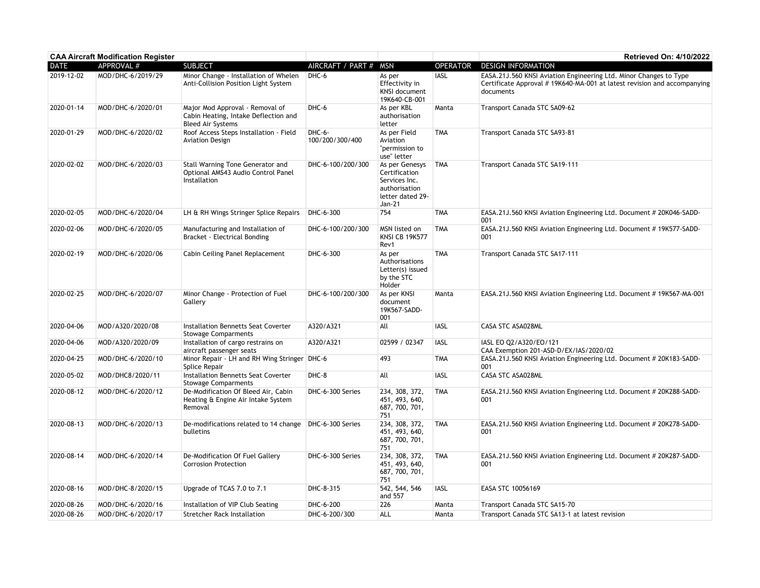| <b>CAA Aircraft Modification Register</b> |                   |                                                                                                     |                           |                                                                                                 |                 | Retrieved On: 4/10/2022                                                                                                                                   |
|-------------------------------------------|-------------------|-----------------------------------------------------------------------------------------------------|---------------------------|-------------------------------------------------------------------------------------------------|-----------------|-----------------------------------------------------------------------------------------------------------------------------------------------------------|
| <b>DATE</b>                               | APPROVAL #        | <b>SUBJECT</b>                                                                                      | AIRCRAFT / PART #         | <b>MSN</b>                                                                                      | <b>OPERATOR</b> | <b>DESIGN INFORMATION</b>                                                                                                                                 |
| 2019-12-02                                | MOD/DHC-6/2019/29 | Minor Change - Installation of Whelen<br>Anti-Collision Position Light System                       | DHC-6                     | As per<br>Effectivity in<br>KNSI document<br>19K640-CB-001                                      | IASL            | EASA.21J.560 KNSI Aviation Engineering Ltd. Minor Changes to Type<br>Certificate Approval #19K640-MA-001 at latest revision and accompanying<br>documents |
| 2020-01-14                                | MOD/DHC-6/2020/01 | Major Mod Approval - Removal of<br>Cabin Heating, Intake Deflection and<br><b>Bleed Air Systems</b> | DHC-6                     | As per KBL<br>authorisation<br>letter                                                           | Manta           | Transport Canada STC SA09-62                                                                                                                              |
| 2020-01-29                                | MOD/DHC-6/2020/02 | Roof Access Steps Installation - Field<br><b>Aviation Design</b>                                    | DHC-6-<br>100/200/300/400 | As per Field<br>Aviation<br>"permission to<br>use" letter                                       | <b>TMA</b>      | Transport Canada STC SA93-81                                                                                                                              |
| 2020-02-02                                | MOD/DHC-6/2020/03 | Stall Warning Tone Generator and<br>Optional AMS43 Audio Control Panel<br>Installation              | DHC-6-100/200/300         | As per Genesys<br>Certification<br>Services Inc.<br>authorisation<br>letter dated 29-<br>Jan-21 | <b>TMA</b>      | Transport Canada STC SA19-111                                                                                                                             |
| 2020-02-05                                | MOD/DHC-6/2020/04 | LH & RH Wings Stringer Splice Repairs                                                               | DHC-6-300                 | 754                                                                                             | <b>TMA</b>      | EASA.21J.560 KNSI Aviation Engineering Ltd. Document #20K046-SADD-<br>001                                                                                 |
| 2020-02-06                                | MOD/DHC-6/2020/05 | Manufacturing and Installation of<br>Bracket - Electrical Bonding                                   | DHC-6-100/200/300         | MSN listed on<br><b>KNSI CB 19K577</b><br>Rev1                                                  | <b>TMA</b>      | EASA.21J.560 KNSI Aviation Engineering Ltd. Document #19K577-SADD-<br>001                                                                                 |
| 2020-02-19                                | MOD/DHC-6/2020/06 | Cabin Ceiling Panel Replacement                                                                     | DHC-6-300                 | As per<br>Authorisations<br>Letter(s) issued<br>by the STC<br>Holder                            | <b>TMA</b>      | Transport Canada STC SA17-111                                                                                                                             |
| 2020-02-25                                | MOD/DHC-6/2020/07 | Minor Change - Protection of Fuel<br>Gallery                                                        | DHC-6-100/200/300         | As per KNSI<br>document<br>19K567-SADD-<br>001                                                  | Manta           | EASA.21J.560 KNSI Aviation Engineering Ltd. Document #19K567-MA-001                                                                                       |
| 2020-04-06                                | MOD/A320/2020/08  | Installation Bennetts Seat Coverter<br><b>Stowage Comparments</b>                                   | A320/A321                 | All                                                                                             | <b>IASL</b>     | CASA STC ASA028ML                                                                                                                                         |
| 2020-04-06                                | MOD/A320/2020/09  | Installation of cargo restrains on<br>aircraft passenger seats                                      | A320/A321                 | 02599 / 02347                                                                                   | <b>IASL</b>     | IASL EO Q2/A320/EO/121<br>CAA Exemption 201-ASD-D/EX/IAS/2020/02                                                                                          |
| 2020-04-25                                | MOD/DHC-6/2020/10 | Minor Repair - LH and RH Wing Stringer DHC-6<br>Splice Repair                                       |                           | 493                                                                                             | <b>TMA</b>      | EASA.21J.560 KNSI Aviation Engineering Ltd. Document #20K183-SADD-<br>001                                                                                 |
| 2020-05-02                                | MOD/DHC8/2020/11  | Installation Bennetts Seat Coverter<br><b>Stowage Comparments</b>                                   | DHC-8                     | All                                                                                             | <b>IASL</b>     | CASA STC ASA028ML                                                                                                                                         |
| 2020-08-12                                | MOD/DHC-6/2020/12 | De-Modification Of Bleed Air, Cabin<br>Heating & Engine Air Intake System<br>Removal                | DHC-6-300 Series          | 234, 308, 372,<br>451, 493, 640,<br>687, 700, 701,<br>751                                       | <b>TMA</b>      | EASA.21J.560 KNSI Aviation Engineering Ltd. Document # 20K288-SADD-<br>001                                                                                |
| 2020-08-13                                | MOD/DHC-6/2020/13 | De-modifications related to 14 change   DHC-6-300 Series<br>bulletins                               |                           | 234, 308, 372,<br>451, 493, 640,<br>687, 700, 701,<br>751                                       | <b>TMA</b>      | EASA.21J.560 KNSI Aviation Engineering Ltd. Document #20K278-SADD-<br>001                                                                                 |
| 2020-08-14                                | MOD/DHC-6/2020/14 | De-Modification Of Fuel Gallery<br><b>Corrosion Protection</b>                                      | DHC-6-300 Series          | 234, 308, 372,<br>451, 493, 640,<br>687, 700, 701,<br>751                                       | <b>TMA</b>      | EASA.21J.560 KNSI Aviation Engineering Ltd. Document #20K287-SADD-<br>001                                                                                 |
| 2020-08-16                                | MOD/DHC-8/2020/15 | Upgrade of TCAS 7.0 to 7.1                                                                          | DHC-8-315                 | 542, 544, 546<br>and 557                                                                        | <b>IASL</b>     | EASA STC 10056169                                                                                                                                         |
| 2020-08-26                                | MOD/DHC-6/2020/16 | Installation of VIP Club Seating                                                                    | DHC-6-200                 | 226                                                                                             | Manta           | Transport Canada STC SA15-70                                                                                                                              |
| 2020-08-26                                | MOD/DHC-6/2020/17 | <b>Stretcher Rack Installation</b>                                                                  | DHC-6-200/300             | ALL                                                                                             | Manta           | Transport Canada STC SA13-1 at latest revision                                                                                                            |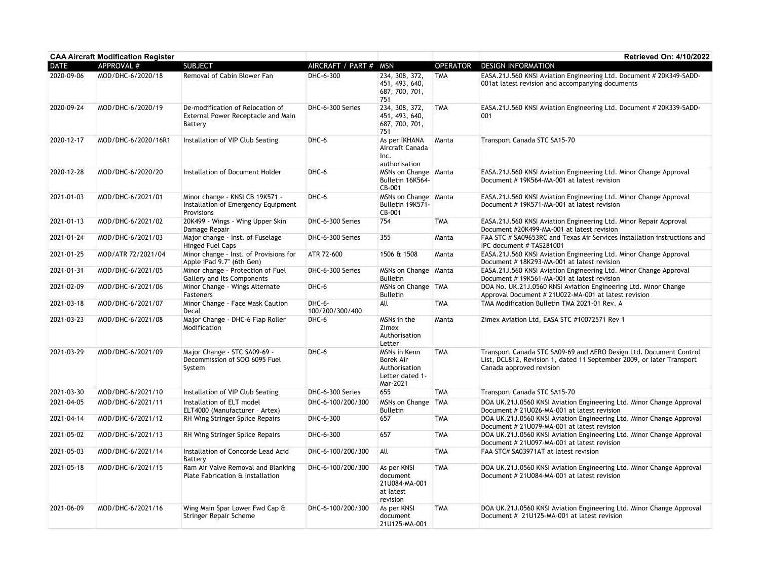| <b>CAA Aircraft Modification Register</b> |                     |                                                                                      |                           |                                                                                  |                 | Retrieved On: 4/10/2022                                                                                                                                                 |
|-------------------------------------------|---------------------|--------------------------------------------------------------------------------------|---------------------------|----------------------------------------------------------------------------------|-----------------|-------------------------------------------------------------------------------------------------------------------------------------------------------------------------|
| <b>DATE</b>                               | APPROVAL #          | <b>SUBJECT</b>                                                                       | AIRCRAFT / PART #         | <b>MSN</b>                                                                       | <b>OPERATOR</b> | <b>DESIGN INFORMATION</b>                                                                                                                                               |
| 2020-09-06                                | MOD/DHC-6/2020/18   | Removal of Cabin Blower Fan                                                          | DHC-6-300                 | 234, 308, 372,<br>451, 493, 640,<br>687, 700, 701,<br>751                        | <b>TMA</b>      | EASA.21J.560 KNSI Aviation Engineering Ltd. Document # 20K349-SADD-<br>001at latest revision and accompanying documents                                                 |
| 2020-09-24                                | MOD/DHC-6/2020/19   | De-modification of Relocation of<br>External Power Receptacle and Main<br>Battery    | DHC-6-300 Series          | 234, 308, 372,<br>451, 493, 640,<br>687, 700, 701,<br>751                        | <b>TMA</b>      | EASA.21J.560 KNSI Aviation Engineering Ltd. Document # 20K339-SADD-<br>001                                                                                              |
| 2020-12-17                                | MOD/DHC-6/2020/16R1 | Installation of VIP Club Seating                                                     | DHC-6                     | As per IKHANA<br>Aircraft Canada<br>Inc.<br>authorisation                        | Manta           | Transport Canada STC SA15-70                                                                                                                                            |
| 2020-12-28                                | MOD/DHC-6/2020/20   | Installation of Document Holder                                                      | DHC-6                     | MSNs on Change   Manta<br>Bulletin 16K564-<br>CB-001                             |                 | EASA.21J.560 KNSI Aviation Engineering Ltd. Minor Change Approval<br>Document #19K564-MA-001 at latest revision                                                         |
| 2021-01-03                                | MOD/DHC-6/2021/01   | Minor change - KNSI CB 19K571 -<br>Installation of Emergency Equipment<br>Provisions | DHC-6                     | MSNs on Change   Manta<br>Bulletin 19K571-<br>CB-001                             |                 | EASA.21J.560 KNSI Aviation Engineering Ltd. Minor Change Approval<br>Document #19K571-MA-001 at latest revision                                                         |
| 2021-01-13                                | MOD/DHC-6/2021/02   | 20K499 - Wings - Wing Upper Skin<br>Damage Repair                                    | DHC-6-300 Series          | 754                                                                              | <b>TMA</b>      | EASA.21J.560 KNSI Aviation Engineering Ltd. Minor Repair Approval<br>Document #20K499-MA-001 at latest revision                                                         |
| 2021-01-24                                | MOD/DHC-6/2021/03   | Major change - Inst. of Fuselage<br>Hinged Fuel Caps                                 | DHC-6-300 Series          | 355                                                                              | Manta           | FAA STC # SA09653RC and Texas Air Services Installation instructions and<br>IPC document # TAS281001                                                                    |
| 2021-01-25                                | MOD/ATR 72/2021/04  | Minor change - Inst. of Provisions for<br>Apple iPad 9.7" (6th Gen)                  | ATR 72-600                | 1506 & 1508                                                                      | Manta           | EASA.21J.560 KNSI Aviation Engineering Ltd. Minor Change Approval<br>Document #18K293-MA-001 at latest revision                                                         |
| 2021-01-31                                | MOD/DHC-6/2021/05   | Minor change - Protection of Fuel<br>Gallery and Its Components                      | DHC-6-300 Series          | MSNs on Change<br><b>Bulletin</b>                                                | Manta           | EASA.21J.560 KNSI Aviation Engineering Ltd. Minor Change Approval<br>Document #19K561-MA-001 at latest revision                                                         |
| 2021-02-09                                | MOD/DHC-6/2021/06   | Minor Change - Wings Alternate<br>Fasteners                                          | DHC-6                     | MSNs on Change   TMA<br><b>Bulletin</b>                                          |                 | DOA No. UK.21J.0560 KNSI Aviation Engineering Ltd. Minor Change<br>Approval Document # 21U022-MA-001 at latest revision                                                 |
| 2021-03-18                                | MOD/DHC-6/2021/07   | Minor Change - Face Mask Caution<br>Decal                                            | DHC-6-<br>100/200/300/400 | All                                                                              | <b>TMA</b>      | TMA Modification Bulletin TMA 2021-01 Rev. A                                                                                                                            |
| 2021-03-23                                | MOD/DHC-6/2021/08   | Major Change - DHC-6 Flap Roller<br>Modification                                     | DHC-6                     | MSNs in the<br>Zimex<br>Authorisation<br>Letter                                  | Manta           | Zimex Aviation Ltd, EASA STC #10072571 Rev 1                                                                                                                            |
| 2021-03-29                                | MOD/DHC-6/2021/09   | Major Change - STC SA09-69 -<br>Decommission of SOO 6095 Fuel<br>System              | DHC-6                     | MSNs in Kenn<br><b>Borek Air</b><br>Authorisation<br>Letter dated 1-<br>Mar-2021 | <b>TMA</b>      | Transport Canada STC SA09-69 and AERO Design Ltd. Document Control<br>List, DCL812, Revision 1, dated 11 September 2009, or later Transport<br>Canada approved revision |
| 2021-03-30                                | MOD/DHC-6/2021/10   | Installation of VIP Club Seating                                                     | DHC-6-300 Series          | 655                                                                              | <b>TMA</b>      | Transport Canada STC SA15-70                                                                                                                                            |
| 2021-04-05                                | MOD/DHC-6/2021/11   | Installation of ELT model<br>ELT4000 (Manufacturer - Artex)                          | DHC-6-100/200/300         | MSNs on Change   TMA<br><b>Bulletin</b>                                          |                 | DOA UK.21J.0560 KNSI Aviation Engineering Ltd. Minor Change Approval<br>Document # 21U026-MA-001 at latest revision                                                     |
| 2021-04-14                                | MOD/DHC-6/2021/12   | RH Wing Stringer Splice Repairs                                                      | DHC-6-300                 | 657                                                                              | <b>TMA</b>      | DOA UK.21J.0560 KNSI Aviation Engineering Ltd. Minor Change Approval<br>Document # 21U079-MA-001 at latest revision                                                     |
| 2021-05-02                                | MOD/DHC-6/2021/13   | RH Wing Stringer Splice Repairs                                                      | DHC-6-300                 | 657                                                                              | <b>TMA</b>      | DOA UK.21J.0560 KNSI Aviation Engineering Ltd. Minor Change Approval<br>Document # 21U097-MA-001 at latest revision                                                     |
| 2021-05-03                                | MOD/DHC-6/2021/14   | Installation of Concorde Lead Acid<br>Battery                                        | DHC-6-100/200/300         | All                                                                              | <b>TMA</b>      | FAA STC# SA03971AT at latest revision                                                                                                                                   |
| 2021-05-18                                | MOD/DHC-6/2021/15   | Ram Air Valve Removal and Blanking<br>Plate Fabrication & Installation               | DHC-6-100/200/300         | As per KNSI<br>document<br>21U084-MA-001<br>at latest<br>revision                | <b>TMA</b>      | DOA UK.21J.0560 KNSI Aviation Engineering Ltd. Minor Change Approval<br>Document # 21U084-MA-001 at latest revision                                                     |
| 2021-06-09                                | MOD/DHC-6/2021/16   | Wing Main Spar Lower Fwd Cap &<br>Stringer Repair Scheme                             | DHC-6-100/200/300         | As per KNSI<br>document<br>21U125-MA-001                                         | <b>TMA</b>      | DOA UK.21J.0560 KNSI Aviation Engineering Ltd. Minor Change Approval<br>Document # 21U125-MA-001 at latest revision                                                     |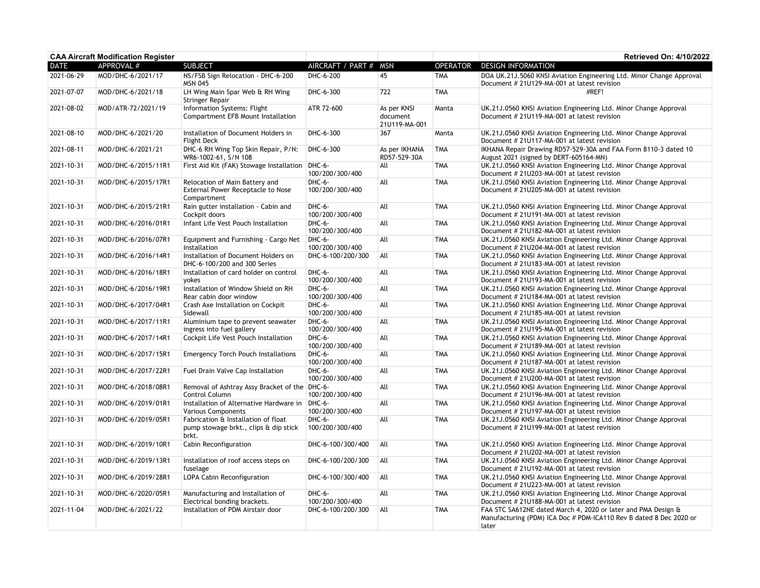|             | <b>CAA Aircraft Modification Register</b> |                                                                                       |                             |                                          |                 | Retrieved On: 4/10/2022                                                                                                                      |
|-------------|-------------------------------------------|---------------------------------------------------------------------------------------|-----------------------------|------------------------------------------|-----------------|----------------------------------------------------------------------------------------------------------------------------------------------|
| <b>DATE</b> | APPROVAL #                                | <b>SUBJECT</b>                                                                        | AIRCRAFT / PART # MSN       |                                          | <b>OPERATOR</b> | <b>DESIGN INFORMATION</b>                                                                                                                    |
| 2021-06-29  | MOD/DHC-6/2021/17                         | NS/FSB Sign Relocation - DHC-6-200<br><b>MSN 045</b>                                  | DHC-6-200                   | 45                                       | <b>TMA</b>      | DOA UK.21J.5060 KNSI Aviation Engineering Ltd. Minor Change Approval<br>Document # 21U129-MA-001 at latest revision                          |
| 2021-07-07  | MOD/DHC-6/2021/18                         | LH Wing Main Spar Web & RH Wing<br>Stringer Repair                                    | DHC-6-300                   | 722                                      | <b>TMA</b>      | #REF!                                                                                                                                        |
| 2021-08-02  | MOD/ATR-72/2021/19                        | Information Systems: Flight<br>Compartment EFB Mount Installation                     | ATR 72-600                  | As per KNSI<br>document<br>21U119-MA-001 | Manta           | UK.21J.0560 KNSI Aviation Engineering Ltd. Minor Change Approval<br>Document # 21U119-MA-001 at latest revision                              |
| 2021-08-10  | MOD/DHC-6/2021/20                         | Installation of Document Holders in<br><b>Flight Deck</b>                             | DHC-6-300                   | 367                                      | Manta           | UK.21J.0560 KNSI Aviation Engineering Ltd. Minor Change Approval<br>Document # 21U117-MA-001 at latest revision                              |
| 2021-08-11  | MOD/DHC-6/2021/21                         | DHC-6 RH Wing Top Skin Repair, P/N:<br>WR6-1002-61, S/N 108                           | DHC-6-300                   | As per IKHANA<br>RD57-529-30A            | <b>TMA</b>      | IKHANA Repair Drawing RD57-529-30A and FAA Form 8110-3 dated 10<br>August 2021 (signed by DERT-605164-MN)                                    |
| 2021-10-31  | MOD/DHC-6/2015/11R1                       | First Aid Kit (FAK) Stowage Installation   DHC-6-                                     | 100/200/300/400             | All                                      | <b>TMA</b>      | UK.21J.0560 KNSI Aviation Engineering Ltd. Minor Change Approval<br>Document # 21U203-MA-001 at latest revision                              |
| 2021-10-31  | MOD/DHC-6/2015/17R1                       | Relocation of Main Battery and<br>External Power Receptacle to Nose<br>Compartment    | $DHC-6-$<br>100/200/300/400 | All                                      | <b>TMA</b>      | UK.21J.0560 KNSI Aviation Engineering Ltd. Minor Change Approval<br>Document # 21U205-MA-001 at latest revision                              |
| 2021-10-31  | MOD/DHC-6/2015/21R1                       | Rain gutter installation - Cabin and<br>Cockpit doors                                 | DHC-6-<br>100/200/300/400   | All                                      | <b>TMA</b>      | UK.21J.0560 KNSI Aviation Engineering Ltd. Minor Change Approval<br>Document # 21U191-MA-001 at latest revision                              |
| 2021-10-31  | MOD/DHC-6/2016/01R1                       | Infant Life Vest Pouch Installation                                                   | DHC-6-<br>100/200/300/400   | All                                      | <b>TMA</b>      | UK.21J.0560 KNSI Aviation Engineering Ltd. Minor Change Approval<br>Document # 21U182-MA-001 at latest revision                              |
| 2021-10-31  | MOD/DHC-6/2016/07R1                       | Equipment and Furnishing - Cargo Net<br>Installation                                  | $DHC-6-$<br>100/200/300/400 | All                                      | <b>TMA</b>      | UK.21J.0560 KNSI Aviation Engineering Ltd. Minor Change Approval<br>Document # 21U204-MA-001 at latest revision                              |
| 2021-10-31  | MOD/DHC-6/2016/14R1                       | Installation of Document Holders on<br>DHC-6-100/200 and 300 Series                   | DHC-6-100/200/300           | All                                      | <b>TMA</b>      | UK.21J.0560 KNSI Aviation Engineering Ltd. Minor Change Approval<br>Document # 21U183-MA-001 at latest revision                              |
| 2021-10-31  | MOD/DHC-6/2016/18R1                       | Installation of card holder on control<br>yokes                                       | DHC-6-<br>100/200/300/400   | All                                      | <b>TMA</b>      | UK.21J.0560 KNSI Aviation Engineering Ltd. Minor Change Approval<br>Document # 21U193-MA-001 at latest revision                              |
| 2021-10-31  | MOD/DHC-6/2016/19R1                       | Installation of Window Shield on RH<br>Rear cabin door window                         | DHC-6-<br>100/200/300/400   | All                                      | <b>TMA</b>      | UK.21J.0560 KNSI Aviation Engineering Ltd. Minor Change Approval<br>Document # 21U184-MA-001 at latest revision                              |
| 2021-10-31  | MOD/DHC-6/2017/04R1                       | Crash Axe Installation on Cockpit<br>Sidewall                                         | DHC-6-<br>100/200/300/400   | All                                      | <b>TMA</b>      | UK.21J.0560 KNSI Aviation Engineering Ltd. Minor Change Approval<br>Document # 21U185-MA-001 at latest revision                              |
| 2021-10-31  | MOD/DHC-6/2017/11R1                       | Aluminium tape to prevent seawater<br>ingress into fuel gallery                       | DHC-6-<br>100/200/300/400   | All                                      | <b>TMA</b>      | UK.21J.0560 KNSI Aviation Engineering Ltd. Minor Change Approval<br>Document # 21U195-MA-001 at latest revision                              |
| 2021-10-31  | MOD/DHC-6/2017/14R1                       | Cockpit Life Vest Pouch Installation                                                  | $DHC-6-$<br>100/200/300/400 | All                                      | <b>TMA</b>      | UK.21J.0560 KNSI Aviation Engineering Ltd. Minor Change Approval<br>Document # 21U189-MA-001 at latest revision                              |
| 2021-10-31  | MOD/DHC-6/2017/15R1                       | <b>Emergency Torch Pouch Installations</b>                                            | DHC-6-<br>100/200/300/400   | All                                      | <b>TMA</b>      | UK.21J.0560 KNSI Aviation Engineering Ltd. Minor Change Approval<br>Document # 21U187-MA-001 at latest revision                              |
| 2021-10-31  | MOD/DHC-6/2017/22R1                       | Fuel Drain Valve Cap Installation                                                     | DHC-6-<br>100/200/300/400   | All                                      | <b>TMA</b>      | UK.21J.0560 KNSI Aviation Engineering Ltd. Minor Change Approval<br>Document # 21U200-MA-001 at latest revision                              |
| 2021-10-31  | MOD/DHC-6/2018/08R1                       | Removal of Ashtray Assy Bracket of the DHC-6-<br>Control Column                       | 100/200/300/400             | All                                      | <b>TMA</b>      | UK.21J.0560 KNSI Aviation Engineering Ltd. Minor Change Approval<br>Document # 21U196-MA-001 at latest revision                              |
| 2021-10-31  | MOD/DHC-6/2019/01R1                       | Installation of Alternative Hardware in   DHC-6-<br><b>Various Components</b>         | 100/200/300/400             | All                                      | <b>TMA</b>      | UK.21J.0560 KNSI Aviation Engineering Ltd. Minor Change Approval<br>Document # 21U197-MA-001 at latest revision                              |
| 2021-10-31  | MOD/DHC-6/2019/05R1                       | Fabrication & Installation of float<br>pump stowage brkt., clips & dip stick<br>brkt. | DHC-6-<br>100/200/300/400   | All                                      | <b>TMA</b>      | UK.21J.0560 KNSI Aviation Engineering Ltd. Minor Change Approval<br>Document # 21U199-MA-001 at latest revision                              |
| 2021-10-31  | MOD/DHC-6/2019/10R1                       | Cabin Reconfiguration                                                                 | DHC-6-100/300/400           | All                                      | <b>TMA</b>      | UK.21J.0560 KNSI Aviation Engineering Ltd. Minor Change Approval<br>Document # 21U202-MA-001 at latest revision                              |
| 2021-10-31  | MOD/DHC-6/2019/13R1                       | Installation of roof access steps on<br>fuselage                                      | DHC-6-100/200/300           | All                                      | <b>TMA</b>      | UK.21J.0560 KNSI Aviation Engineering Ltd. Minor Change Approval<br>Document # 21U192-MA-001 at latest revision                              |
| 2021-10-31  | MOD/DHC-6/2019/28R1                       | LOPA Cabin Reconfiguration                                                            | DHC-6-100/300/400           | All                                      | <b>TMA</b>      | UK.21J.0560 KNSI Aviation Engineering Ltd. Minor Change Approval<br>Document # 21U223-MA-001 at latest revision                              |
| 2021-10-31  | MOD/DHC-6/2020/05R1                       | Manufacturing and Installation of<br>Electrical bonding brackets.                     | DHC-6-<br>100/200/300/400   | All                                      | <b>TMA</b>      | UK.21J.0560 KNSI Aviation Engineering Ltd. Minor Change Approval<br>Document # 21U188-MA-001 at latest revision                              |
| 2021-11-04  | MOD/DHC-6/2021/22                         | Installation of PDM Airstair door                                                     | DHC-6-100/200/300           | All                                      | <b>TMA</b>      | FAA STC SA612NE dated March 4, 2020 or later and PMA Design &<br>Manufacturing (PDM) ICA Doc # PDM-ICA110 Rev B dated 8 Dec 2020 or<br>later |